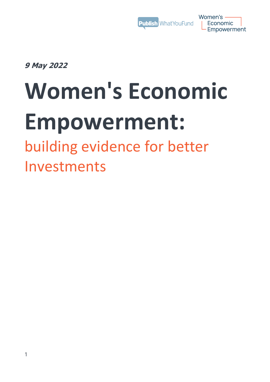

Women's — **Economic** Empowerment

**9 May 2022**

# **Women's Economic Empowerment:**

building evidence for better Investments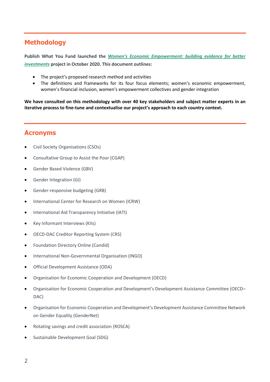# **Methodology**

**Publish What You Fund launched the** *[Women's Economic Empowerme](https://www.publishwhatyoufund.org/projects/womens-economic-empowerment/)nt: building evidence for better [investments](https://www.publishwhatyoufund.org/projects/womens-economic-empowerment/)* **project in October 2020. This document outlines:**

- The project's proposed research method and activities
- The definitions and frameworks for its four focus elements; women's economic empowerment, women's financial inclusion, women's empowerment collectives and gender integration

**We have consulted on this methodology with over 40 key stakeholders and subject matter experts in an iterative process to fine-tune and contextualise our project's approach to each country context.** 

## **Acronyms**

- Civil Society Organisations (CSOs)
- Consultative Group to Assist the Poor (CGAP)
- Gender Based Violence (GBV)
- Gender Integration (GI)
- Gender-responsive budgeting (GRB)
- International Center for Research on Women (ICRW)
- International Aid Transparency Initiative (IATI)
- Key Informant Interviews (KIIs)
- OECD-DAC Creditor Reporting System (CRS)
- Foundation Directory Online (Candid)
- International Non-Governmental Organisation (INGO)
- Official Development Assistance (ODA)
- Organisation for Economic Cooperation and Development (OECD)
- Organisation for Economic Cooperation and Development's Development Assistance Committee (OECD– DAC)
- Organisation for Economic Cooperation and Development's Development Assistance Committee Network on Gender Equality (GenderNet)
- Rotating savings and credit association (ROSCA)
- Sustainable Development Goal (SDG)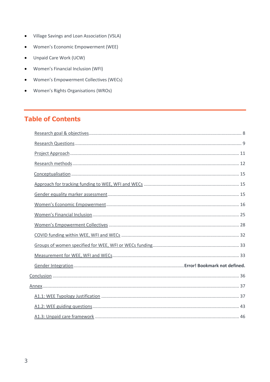- Village Savings and Loan Association (VSLA)  $\bullet$
- Women's Economic Empowerment (WEE)  $\bullet$
- Unpaid Care Work (UCW)  $\bullet$
- Women's Financial Inclusion (WFI)  $\bullet$
- Women's Empowerment Collectives (WECs)  $\bullet$
- Women's Rights Organisations (WROs)  $\bullet$

# **Table of Contents**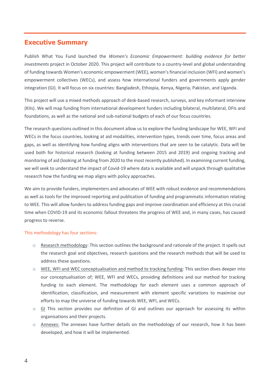#### **Executive Summary**

Publish What You Fund launched the *Women's Economic Empowerment: building evidence for better investments* project in October 2020. This project will contribute to a country-level and global understanding of funding towards Women's economic empowerment (WEE), women's financial inclusion (WFI) and women's empowerment collectives (WECs), and assess how international funders and governments apply gender integration (GI). It will focus on six countries: Bangladesh, Ethiopia, Kenya, Nigeria, Pakistan, and Uganda.

This project will use a mixed methods approach of desk-based research, surveys, and key informant interview (KIIs). We will map funding from international development funders including bilateral, multilateral, DFIs and foundations, as well as the national and sub-national budgets of each of our focus countries.

The research questions outlined in this document allow us to explore the funding landscape for WEE, WFI and WECs in the focus countries, looking at aid modalities, intervention types, trends over time, focus areas and gaps, as well as identifying how funding aligns with interventions that are seen to be catalytic. Data will be used both for historical research (looking at funding between 2015 and 2019) and ongoing tracking and monitoring of aid (looking at funding from 2020 to the most recently published). In examining current funding, we will seek to understand the impact of Covid-19 where data is available and will unpack through qualitative research how the funding we map aligns with policy approaches.

We aim to provide funders, implementers and advocates of WEE with robust evidence and recommendations as well as tools for the improved reporting and publication of funding and programmatic information relating to WEE. This will allow funders to address funding gaps and improve coordination and efficiency at this crucial time when COVID-19 and its economic fallout threatens the progress of WEE and, in many cases, has caused progress to reverse.

#### This methodology has four sections:

- o Research methodology: This section outlines the background and rationale of the project. It spells out the research goal and objectives, research questions and the research methods that will be used to address these questions.
- o WEE, WFI and WEC conceptualisation and method to tracking funding: This section dives deeper into our conceptualisation of; WEE, WFI and WECs, providing definitions and our method for tracking funding to each element. The methodology for each element uses a common approach of identification, classification, and measurement with element specific variations to maximise our efforts to map the universe of funding towards WEE, WFI, and WECs.
- o GI This section provides our definition of GI and outlines our approach for assessing its within organisations and their projects.
- o Annexes: The annexes have further details on the methodology of our research, how it has been developed, and how it will be implemented.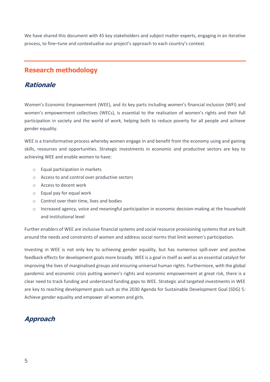We have shared this document with 45 key stakeholders and subject matter experts, engaging in an iterative process, to fine–tune and contextualise our project's approach to each country's context.

# **Research methodology**

#### **Rationale**

Women's Economic Empowerment (WEE), and its key parts including women's financial inclusion (WFI) and women's empowerment collectives (WECs), is essential to the realisation of women's rights and their full participation in society and the world of work, helping both to reduce poverty for all people and achieve gender equality.

WEE is a transformative process whereby women engage in and benefit from the economy using and gaining skills, resources and opportunities. Strategic investments in economic and productive sectors are key to achieving WEE and enable women to have:

- o Equal participation in markets
- o Access to and control over productive sectors
- o Access to decent work
- o Equal pay for equal work
- o Control over their time, lives and bodies
- o Increased agency, voice and meaningful participation in economic decision-making at the household and institutional level

Further enablers of WEE are inclusive financial systems and social resource provisioning systems that are built around the needs and constraints of women and address social norms that limit women's participation.

Investing in WEE is not only key to achieving gender equality, but has numerous spill-over and positive feedback effects for development goals more broadly. WEE is a goal in itself as well as an essential catalyst for improving the lives of marginalised groups and ensuring universal human rights. Furthermore, with the global pandemic and economic crisis putting women's rights and economic empowerment at great risk, there is a clear need to track funding and understand funding gaps to WEE. Strategic and targeted investments in WEE are key to reaching development goals such as the [2030 Agenda for Sustainable Development Goal \(SDG\) 5:](https://sdgs.un.org/goals/goal5)  Achieve gender equality and empower all women and girls.

# **Approach**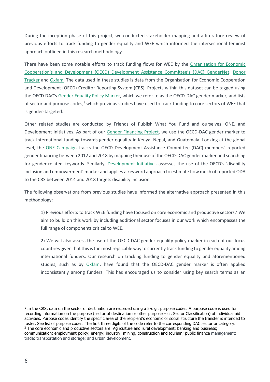During the inception phase of this project, we conducted stakeholder mapping and a literature review of previous efforts to track funding to gender equality and WEE which informed the intersectional feminist approach outlined in this research methodology.

There have been some notable efforts to track funding flows for WEE by the [Organisation for Economic](https://www.oecd.org/development/gender-development/How-does-aid-support-womens-economic-empowerment-2021.pdf)  [Cooperation's and Development \(OECD\) Development Assistance Committee's \(DAC\) Gender](https://www.oecd.org/development/gender-development/How-does-aid-support-womens-economic-empowerment-2021.pdf)Net, [Donor](https://donortracker.org/insights/empowerment-how-development-policy-and-funding-womens-empowerment)  [Tracker](https://donortracker.org/insights/empowerment-how-development-policy-and-funding-womens-empowerment) and [Oxfam.](https://www.oxfamamerica.org/explore/research-publications/are-they-really-gender-equality-projects/) The data used in these studies is data from the Organisation for Economic Cooperation and Development (OECD) Creditor Reporting System (CRS). Projects within this dataset can be tagged using the OECD DAC's [Gender Equality Policy Marker,](https://www.oecd.org/dac/gender-development/Handbook-OECD-DAC-Gender-Equality-Policy-Marker.pdf) which we refer to as the OECD-DAC gender marker, and lists of sector and purpose codes,<sup>1</sup> which previous studies have used to track funding to core sectors of WEE that is gender-targeted.

Other related studies are conducted by Friends of Publish What You Fund and ourselves, ONE, and Development Initiatives. As part of our [Gender Financing Project,](https://www.publishwhatyoufund.org/2021/03/we-need-greater-transparency-to-track-progress-on-gender-equality/) we use the OECD-DAC gender marker to track international funding towards gender equality in Kenya, Nepal, and Guatemala. Looking at the global level, the [ONE Campaign](https://donortracker.org/insights/devil-details-challenges-tracking-oda-gender-equality) tracks the OECD Development Assistance Committee (DAC) members' reported gender financing between 2012 and 2018 by mapping their use of the OECD-DAC gender marker and searching for gender-related keywords. Similarly, [Development Initiatives](https://devinit.org/resources/disability-inclusive-oda-aid-data-donors-channels-recipients/) assesses the use of the OECD's 'disability inclusion and empowerment' marker and applies a keyword approach to estimate how much of reported ODA to the CRS between 2014 and 2018 targets disability inclusion.

The following observations from previous studies have informed the alternative approach presented in this methodology:

1) Previous efforts to track WEE funding have focused on core economic and productive sectors. <sup>2</sup> We aim to build on this work by including additional sector focuses in our work which encompasses the full range of components critical to WEE.

2) We will also assess the use of the OECD-DAC gender equality policy marker in each of our focus countries given that this is the mostreplicable way to currently track funding to gender equality among international funders. Our research on tracking funding to gender equality and aforementioned studies, such as by [Oxfam,](https://oxfamilibrary.openrepository.com/bitstream/handle/10546/620945/rr-are-they-really-gender-equality-projects-donors-050220-en.pdf;jsessionid=74179C93F94F03E42B4041DCAA938B65?sequence=1) have found that the OECD-DAC gender marker is often applied inconsistently among funders. This has encouraged us to consider using key search terms as an

**.** 

<sup>&</sup>lt;sup>1</sup> In the CRS, data on the sector of destination are recorded using a 5-digit purpose codes. A purpose code is used for recording information on the purpose (sector of destination or other purpose – cf. [Sector Classification\)](https://search.oecd.org/dac/financing-sustainable-development/development-finance-data/dac-glossary.htm#Sector_Class) of individual aid activities. Purpose codes identify the specific area of the recipient's economic or social structure the transfer is intended to foster. See list of [purpose codes.](https://search.oecd.org/dac/financing-sustainable-development/development-finance-standards/purposecodessectorclassification.htm) The first three digits of the code refer to the corresponding DAC sector or category. <sup>2</sup> The core economic and productive sectors are: Agriculture and rural development; banking and business; communication; employment policy; energy; industry; mining, construction and tourism; public finance management; trade; transportation and storage; and urban development.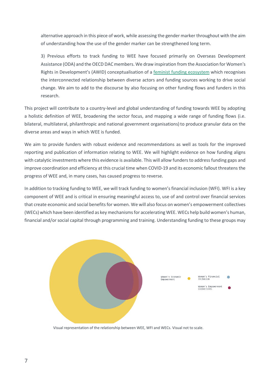alternative approach in this piece of work, while assessing the gender marker throughout with the aim of understanding how the use of the gender marker can be strengthened long term.

3) Previous efforts to track funding to WEE have focused primarily on Overseas Development Assistance (ODA) and the OECD DAC members. We draw inspiration from the Association for Women's Rights in Development's (AWID) conceptualisation of a [feminist funding ecosystem](https://www.awid.org/sites/default/files/atoms/files/awid_funding_ecosystem_2019_final_eng.pdf) which recognises the interconnected relationship between diverse actors and funding sources working to drive social change. We aim to add to the discourse by also focusing on other funding flows and funders in this research.

This project will contribute to a country-level and global understanding of funding towards WEE by adopting a holistic definition of WEE, broadening the sector focus, and mapping a wide range of funding flows (i.e. bilateral, multilateral, philanthropic and national government organisations) to produce granular data on the diverse areas and ways in which WEE is funded.

We aim to provide funders with robust evidence and recommendations as well as tools for the improved reporting and publication of information relating to WEE. We will highlight evidence on how funding aligns with catalytic investments where this evidence is available. This will allow funders to address funding gaps and improve coordination and efficiency at this crucial time when COVID-19 and its economic fallout threatens the progress of WEE and, in many cases, has caused progress to reverse.

In addition to tracking funding to WEE, we will track funding to women's financial inclusion (WFI). WFI is a key component of WEE and is critical in ensuring meaningful access to, use of and control over financial services that create economic and social benefits for women. We will also focus on women's empowerment collectives (WECs) which have been identified as key mechanisms for accelerating WEE. WECs help build women's human, financial and/or social capital through programming and training. Understanding funding to these groups may



Visual representation of the relationship between WEE, WFI and WECs. Visual not to scale.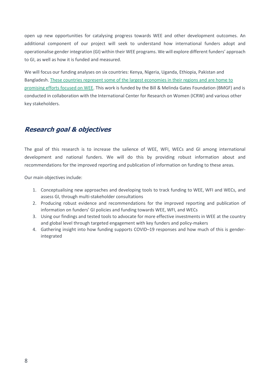open up new opportunities for catalysing progress towards WEE and other development outcomes. An additional component of our project will seek to understand how international funders adopt and operationalise gender integration (GI) within their WEE programs. We will explore different funders' approach to GI, as well as how it is funded and measured.

We will focus our funding analyses on six countries: Kenya, Nigeria, Uganda, Ethiopia, Pakistan and Bangladesh[. These countries represent some of the largest economies in their regions and are home to](https://www.gatesfoundation.org/our-work/programs/gender-equality/gender-equality#OurStrategy)  [promising efforts focused on WEE.](https://www.gatesfoundation.org/our-work/programs/gender-equality/gender-equality#OurStrategy) This work is funded by the Bill & Melinda Gates Foundation (BMGF) and is conducted in collaboration with the International Center for Research on Women (ICRW) and various other key stakeholders.

# <span id="page-7-0"></span>**Research goal & objectives**

The goal of this research is to increase the salience of WEE, WFI, WECs and GI among international development and national funders. We will do this by providing robust information about and recommendations for the improved reporting and publication of information on funding to these areas.

Our main objectives include:

- 1. Conceptualising new approaches and developing tools to track funding to WEE, WFI and WECs, and assess GI, through multi-stakeholder consultations
- 2. Producing robust evidence and recommendations for the improved reporting and publication of information on funders' GI policies and funding towards WEE, WFI, and WECs
- 3. Using our findings and tested tools to advocate for more effective investments in WEE at the country and global level through targeted engagement with key funders and policy-makers
- 4. Gathering insight into how funding supports COVID–19 responses and how much of this is genderintegrated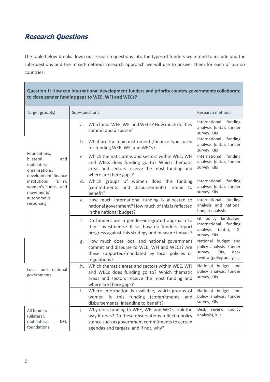# <span id="page-8-0"></span>**Research Questions**

The table below breaks down our research questions into the types of funders we intend to include and the sub-questions and the mixed-methods research approach we will use to answer them for each of our six countries:

| Question 1: How can international development funders and priority country governments collaborate<br>to close gender funding gaps to WEE, WFI and WECs?                                |                                                                                                                                                                                                          |                                                                                                        |  |  |  |
|-----------------------------------------------------------------------------------------------------------------------------------------------------------------------------------------|----------------------------------------------------------------------------------------------------------------------------------------------------------------------------------------------------------|--------------------------------------------------------------------------------------------------------|--|--|--|
| Target group(s):                                                                                                                                                                        | Sub-questions:                                                                                                                                                                                           | Research methods:                                                                                      |  |  |  |
| Foundations,<br>bilateral<br>and<br>multilateral<br>organisations,<br>development finance<br>institutions<br>$(DFIs)$ ,<br>women's funds, and<br>movements'<br>autonomous<br>resourcing | Who funds WEE, WFI and WECs? How much do they<br>а.<br>commit and disburse?                                                                                                                              | International funding<br>analysis (data), funder<br>survey, Klls                                       |  |  |  |
|                                                                                                                                                                                         | b. What are the main instruments/finance types used<br>for funding WEE, WFI and WECs?                                                                                                                    | funding<br>International<br>analysis (data), funder<br>survey, Klls                                    |  |  |  |
|                                                                                                                                                                                         | Which thematic areas and sectors within WEE, WFI<br>C <sub>1</sub><br>and WECs does funding go to? Which thematic<br>areas and sectors receive the most funding and<br>where are there gaps?             | International<br>funding<br>analysis (data), funder<br>survey, Klls                                    |  |  |  |
|                                                                                                                                                                                         | Which groups of women does this funding<br>d.<br>(commitments and disbursements) intend to<br>benefit?                                                                                                   | funding<br>International<br>analysis (data), funder<br>survey, Klls                                    |  |  |  |
|                                                                                                                                                                                         | How much international funding is allocated to<br>e.<br>national government? How much of this is reflected<br>in the national budget?                                                                    | International<br>funding<br>analysis and national<br>budget analysis                                   |  |  |  |
|                                                                                                                                                                                         | f.<br>Do funders use a gender-integrated approach to<br>their investments? If so, how do funders report<br>progress against this strategy and measure impact?                                            | GI<br>policy landscape,<br>international<br>funding<br>analysis<br>(data),<br>GI<br>survey, Klls       |  |  |  |
|                                                                                                                                                                                         | How much does local and national government<br>g.<br>commit and disburse to WEE, WFI and WECs? Are<br>these supported/mandated by local policies or<br>regulations?                                      | National budget and<br>policy analysis, funder<br>survey,<br>KIIs,<br>desk<br>review (policy analysis) |  |  |  |
| national<br>Local and<br>governments                                                                                                                                                    | Which thematic areas and sectors within WEE, WFI<br>h.<br>and WECs does funding go to? Which thematic<br>areas and sectors receive the most funding and<br>where are there gaps?                         | National budget and<br>policy analysis, funder<br>survey, Klls                                         |  |  |  |
|                                                                                                                                                                                         | Where information is available, which groups of National budget and<br>i.<br>this<br>funding<br>(commitments<br>is<br>and<br>women<br>disbursements) intending to benefit?                               | policy analysis, funder<br>survey, Klls                                                                |  |  |  |
| All funders<br>(Bilateral,<br>multilateral,<br>DFI,<br>foundations,                                                                                                                     | Why does funding to WEE, WFI and WECs look the<br>j.<br>way it does? Do these observations reflect a policy<br>stance such as government commitments to certain<br>agendas and targets, and if not, why? | <b>Desk</b><br>review<br>(policy<br>analysis), Klls                                                    |  |  |  |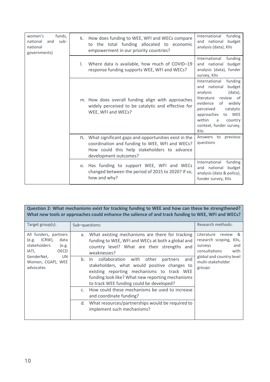| funds,<br>women's<br>sub-<br>national<br>and<br>national<br>governments) | How does funding to WEE, WFI and WECs compare<br>k.<br>to the total funding allocated to economic<br>empowerment in our priority countries? |                                                                                                                                                                                   |                                                                                                                                                                                                                                              |
|--------------------------------------------------------------------------|---------------------------------------------------------------------------------------------------------------------------------------------|-----------------------------------------------------------------------------------------------------------------------------------------------------------------------------------|----------------------------------------------------------------------------------------------------------------------------------------------------------------------------------------------------------------------------------------------|
|                                                                          | I.                                                                                                                                          | Where data is available, how much of COVID-19<br>response funding supports WEE, WFI and WECs?                                                                                     | funding<br>International<br>and national<br>budget<br>analysis (data), funder<br>survey, Klls                                                                                                                                                |
|                                                                          |                                                                                                                                             | m. How does overall funding align with approaches<br>widely perceived to be catalytic and effective for<br>WEE, WFI and WECs?                                                     | International<br>funding<br>budget<br>and national<br>analysis<br>(data),<br>literature review of<br>evidence<br>widely<br>of<br>perceived<br>catalytic<br>to WEE<br>approaches<br>within<br>country<br>a<br>context, funder survey,<br>KIIs |
|                                                                          |                                                                                                                                             | n. What significant gaps and opportunities exist in the<br>coordination and funding to WEE, WFI and WECs?<br>How could this help stakeholders to advance<br>development outcomes? | Answers to<br>previous<br>questions                                                                                                                                                                                                          |
|                                                                          |                                                                                                                                             | o. Has funding to support WEE, WFI and WECs<br>changed between the period of 2015 to 2020? If so,<br>how and why?                                                                 | funding<br>International<br>and national<br>budget<br>analysis (data & policy),<br>funder survey, Klls                                                                                                                                       |

|                                                                                                                                                                | Question 2: What mechanisms exist for tracking funding to WEE and how can these be strengthened?<br>What new tools or approaches could enhance the salience of and track funding to WEE, WFI and WECs?                                                                                                                                                                                                                                                                                                                                                                                                 |                                                                                                                                                          |
|----------------------------------------------------------------------------------------------------------------------------------------------------------------|--------------------------------------------------------------------------------------------------------------------------------------------------------------------------------------------------------------------------------------------------------------------------------------------------------------------------------------------------------------------------------------------------------------------------------------------------------------------------------------------------------------------------------------------------------------------------------------------------------|----------------------------------------------------------------------------------------------------------------------------------------------------------|
| Target $group(s)$ :                                                                                                                                            | Sub-questions:                                                                                                                                                                                                                                                                                                                                                                                                                                                                                                                                                                                         | Research methods:                                                                                                                                        |
| All funders, partners<br>ICRW),<br>data<br>(e.g.<br><b>stakeholders</b><br>(e.g.<br>IATI,<br>OECD<br><b>UN</b><br>GenderNet,<br>Women, CGAP), WEE<br>advocates | a. What existing mechanisms are there for tracking<br>funding to WEE, WFI and WECs at both a global and<br>country level? What are their strengths and<br>weaknesses?<br>partners and<br>b. In collaboration with other<br>stakeholders, what would positive changes to<br>existing reporting mechanisms to track WEE<br>funding look like? What new reporting mechanisms<br>to track WEE funding could be developed?<br>How could these mechanisms be used to increase<br>$C_{\cdot}$<br>and coordinate funding?<br>d. What resources/partnerships would be required to<br>implement such mechanisms? | Literature review<br>୍ୟ<br>research scoping, Klls,<br>surveys<br>and<br>consultations<br>with<br>global and country level<br>multi-stakeholder<br>groups |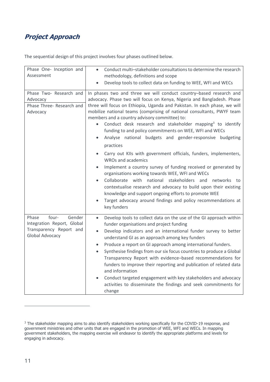# <span id="page-10-0"></span>**Project Approach**

The sequential design of this project involves four phases outlined below.

| Phase One- Inception and<br>Assessment                                                               | Conduct multi-stakeholder consultations to determine the research<br>$\bullet$<br>methodology, definitions and scope<br>Develop tools to collect data on funding to WEE, WFI and WECs                                                                                                                                                                                                                                                                                                                                                                                                                                                                                                                                                                                                                                                                                                                                                                                                                                                                               |
|------------------------------------------------------------------------------------------------------|---------------------------------------------------------------------------------------------------------------------------------------------------------------------------------------------------------------------------------------------------------------------------------------------------------------------------------------------------------------------------------------------------------------------------------------------------------------------------------------------------------------------------------------------------------------------------------------------------------------------------------------------------------------------------------------------------------------------------------------------------------------------------------------------------------------------------------------------------------------------------------------------------------------------------------------------------------------------------------------------------------------------------------------------------------------------|
| Phase Two- Research and<br>Advocacy<br>Phase Three- Research and<br>Advocacy                         | In phases two and three we will conduct country-based research and<br>advocacy. Phase two will focus on Kenya, Nigeria and Bangladesh. Phase<br>three will focus on Ethiopia, Uganda and Pakistan. In each phase, we will<br>mobilize national teams (comprising of national consultants, PWYF team<br>members and a country advisory committee) to:<br>Conduct desk research and stakeholder mapping <sup>3</sup> to identify<br>funding to and policy commitments on WEE, WFI and WECs<br>Analyse national budgets and gender-responsive budgeting<br>practices<br>Carry out KIIs with government officials, funders, implementers,<br><b>WROs and academics</b><br>Implement a country survey of funding received or generated by<br>organisations working towards WEE, WFI and WECs<br>Collaborate with national stakeholders and<br>networks<br>to<br>contextualise research and advocacy to build upon their existing<br>knowledge and support ongoing efforts to promote WEE<br>Target advocacy around findings and policy recommendations at<br>key funders |
| four-<br>Phase<br>Gender<br>Integration Report, Global<br>Transparency Report and<br>Global Advocacy | Develop tools to collect data on the use of the GI approach within<br>$\bullet$<br>funder organisations and project funding<br>Develop indicators and an international funder survey to better<br>$\bullet$<br>understand GI as an approach among key funders<br>Produce a report on GI approach among international funders.<br>٠<br>Synthesise findings from our six focus countries to produce a Global<br>$\bullet$<br>Transparency Report with evidence-based recommendations for<br>funders to improve their reporting and publication of related data<br>and information<br>Conduct targeted engagement with key stakeholders and advocacy<br>$\bullet$<br>activities to disseminate the findings and seek commitments for<br>change                                                                                                                                                                                                                                                                                                                         |

**.** 

<sup>&</sup>lt;sup>3</sup> The stakeholder mapping aims to also identify stakeholders working specifically for the COVID-19 response, and government ministries and other units that are engaged in the promotion of WEE, WFI and WECs. In mapping government stakeholders, the mapping exercise will endeavor to identify the appropriate platforms and levels for engaging in advocacy.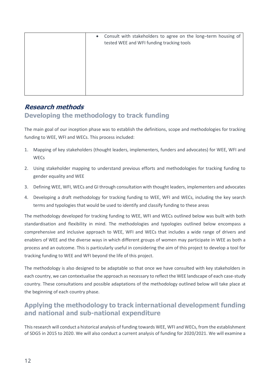| $\bullet$ | Consult with stakeholders to agree on the long-term housing of<br>tested WEE and WFI funding tracking tools |
|-----------|-------------------------------------------------------------------------------------------------------------|
|           |                                                                                                             |

# <span id="page-11-0"></span>**Research methods Developing the methodology to track funding**

The main goal of our inception phase was to establish the definitions, scope and methodologies for tracking funding to WEE, WFI and WECs. This process included:

- 1. Mapping of key stakeholders (thought leaders, implementers, funders and advocates) for WEE, WFI and **WECs**
- 2. Using stakeholder mapping to understand previous efforts and methodologies for tracking funding to gender equality and WEE
- 3. Defining WEE, WFI, WECs and GI through consultation with thought leaders, implementers and advocates
- 4. Developing a draft methodology for tracking funding to WEE, WFI and WECs, including the key search terms and typologies that would be used to identify and classify funding to these areas

The methodology developed for tracking funding to WEE, WFI and WECs outlined below was built with both standardisation and flexibility in mind. The methodologies and typologies outlined below encompass a comprehensive and inclusive approach to WEE, WFI and WECs that includes a wide range of drivers and enablers of WEE and the diverse ways in which different groups of women may participate in WEE as both a process and an outcome. This is particularly useful in considering the aim of this project to develop a tool for tracking funding to WEE and WFI beyond the life of this project.

The methodology is also designed to be adaptable so that once we have consulted with key stakeholders in each country, we can contextualise the approach as necessary to reflect the WEE landscape of each case-study country. These consultations and possible adaptations of the methodology outlined below will take place at the beginning of each country phase.

# **Applying the methodology to track international development funding and national and sub-national expenditure**

This research will conduct a historical analysis of funding towards WEE, WFI and WECs, from the establishment of SDG5 in 2015 to 2020. We will also conduct a current analysis of funding for 2020/2021. We will examine a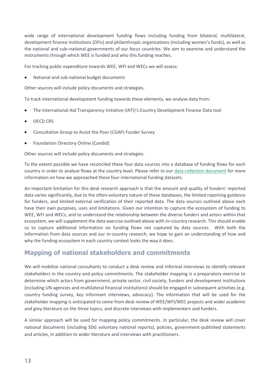wide range of international development funding flows including funding from bilateral, multilateral, development finance institutions (DFIs) and philanthropic organisations (including women's funds), as well as the national and sub–national governments of our focus countries. We aim to examine and understand the instruments through which WEE is funded and who this funding reaches.

For tracking public expenditure towards WEE, WFI and WECs we will assess:

• National and sub-national budget documents

Other sources will include policy documents and strategies.

To track international development funding towards these elements, we analyse data from:

- The International Aid Transparency Initiative (IATI)'s Country Development Finance Data tool
- OECD CRS
- Consultative Group to Assist the Poor (CGAP) Funder Survey
- Foundation Directory Online (Candid)

Other sources will include policy documents and strategies.

To the extent possible we have reconciled these four data sources into a database of funding flows for each country in order to analyse flows at the country level. Please refer to our [data collection document](https://www.publishwhatyoufund.org/download/wee-data-collection-methodology/) for more information on how we approached these four international funding datasets.

An important limitation for this desk research approach is that the amount and quality of funders' reported data varies significantly, due to the often-voluntary nature of these databases, the limited reporting guidance for funders, and limited external verification of their reported data. The data sources outlined above each have their own purposes, uses and limitations. Given our intention to capture the ecosystem of funding to WEE, WFI and WECs, and to understand the relationship between the diverse funders and actors within that ecosystem, we will supplement the data exercise outlined above with in–country research. This should enable us to capture additional information on funding flows not captured by data sources. With both the information from data sources and our in-country research, we hope to gain an understanding of how and why the funding ecosystem in each country context looks the way it does.

# **Mapping of national stakeholders and commitments**

We will mobilize national consultants to conduct a desk review and informal interviews to identify relevant stakeholders in the country and policy commitments. The stakeholder mapping is a preparatory exercise to determine which actors from government, private sector, civil society, funders and development institutions (including UN agencies and multilateral financial institutions) should be engaged in subsequent activities (e.g. country funding survey, key informant interviews, advocacy). The information that will be used for the stakeholder mapping is anticipated to come from desk review of WEE/WFI/WEC projects and wider academic and grey literature on the three topics, and discrete interviews with implementers and funders.

A similar approach will be used for mapping policy commitments. In particular, the desk review will cover national documents (including SDG voluntary national reports), policies, government-published statements and articles, in addition to wider literature and interviews with practitioners.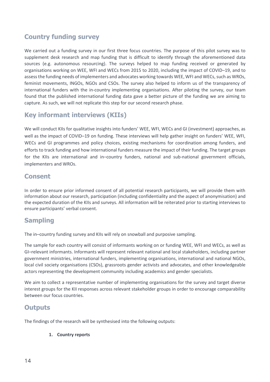# **Country funding survey**

We carried out a funding survey in our first three focus countries. The purpose of this pilot survey was to supplement desk research and map funding that is difficult to identify through the aforementioned data sources (e.g. autonomous resourcing). The surveys helped to map funding received or generated by organisations working on WEE, WFI and WECs from 2015 to 2020, including the impact of COVID–19, and to assess the funding needs of implementers and advocates working towards WEE, WFI and WECs, such as WROs, feminist movements, INGOs, NGOs and CSOs. The survey also helped to inform us of the transparency of international funders with the in-country implementing organisations. After piloting the survey, our team found that the published international funding data gave a better picture of the funding we are aiming to capture. As such, we will not replicate this step for our second research phase.

# **Key informant interviews (KIIs)**

We will conduct KIIs for qualitative insights into funders' WEE, WFI, WECs and GI (investment) approaches, as well as the impact of COVID–19 on funding. These interviews will help gather insight on funders' WEE, WFI, WECs and GI programmes and policy choices, existing mechanisms for coordination among funders, and efforts to track funding and how international funders measure the impact of their funding. The target groups for the KIIs are international and in–country funders, national and sub-national government officials, implementers and WROs.

#### **Consent**

In order to ensure prior informed consent of all potential research participants, we will provide them with information about our research, participation (including confidentiality and the aspect of anonymisation) and the expected duration of the KIIs and surveys. All information will be reiterated prior to starting interviews to ensure participants' verbal consent.

# **Sampling**

The in–country funding survey and KIIs will rely on snowball and purposive sampling.

The sample for each country will consist of informants working on or funding WEE, WFI and WECs, as well as GI–relevant informants. Informants will represent relevant national and local stakeholders, including partner government ministries, international funders, implementing organisations, international and national NGOs, local civil society organisations (CSOs), grassroots gender activists and advocates, and other knowledgeable actors representing the development community including academics and gender specialists.

We aim to collect a representative number of implementing organisations for the survey and target diverse interest groups for the KII responses across relevant stakeholder groups in order to encourage comparability between our focus countries.

## **Outputs**

The findings of the research will be synthesised into the following outputs:

**1. Country reports**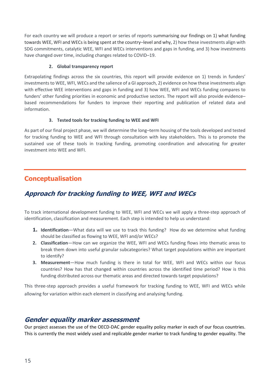For each country we will produce a report or series of reports summarising our findings on 1) what funding towards WEE, WFI and WECs is being spent at the country–level and why, 2) how these investments align with SDG commitments, catalytic WEE, WFI and WECs interventions and gaps in funding, and 3) how investments have changed over time, including changes related to COVID–19.

#### **2. Global transparency report**

Extrapolating findings across the six countries, this report will provide evidence on 1) trends in funders' investments to WEE, WFI, WECs and the salience of a GI approach, 2) evidence on how these investments align with effective WEE interventions and gaps in funding and 3) how WEE, WFI and WECs funding compares to funders' other funding priorities in economic and productive sectors. The report will also provide evidence– based recommendations for funders to improve their reporting and publication of related data and information.

#### **3. Tested tools for tracking funding to WEE and WFI**

As part of our final project phase, we will determine the long–term housing of the tools developed and tested for tracking funding to WEE and WFI through consultation with key stakeholders. This is to promote the sustained use of these tools in tracking funding, promoting coordination and advocating for greater investment into WEE and WFI.

# <span id="page-14-0"></span>**Conceptualisation**

# <span id="page-14-1"></span>**Approach for tracking funding to WEE, WFI and WECs**

To track international development funding to WEE, WFI and WECs we will apply a three-step approach of identification, classification and measurement. Each step is intended to help us understand:

- **1. Identification**—What data will we use to track this funding? How do we determine what funding should be classified as flowing to WEE, WFI and/or WECs?
- **2. Classification**—How can we organize the WEE, WFI and WECs funding flows into thematic areas to break them down into useful granular subcategories? What target populations within are important to identify?
- **3. Measurement**—How much funding is there in total for WEE, WFI and WECs within our focus countries? How has that changed within countries across the identified time period? How is this funding distributed across our thematic areas and directed towards target populations?

This three-step approach provides a useful framework for tracking funding to WEE, WFI and WECs while allowing for variation within each element in classifying and analysing funding.

## <span id="page-14-2"></span>**Gender equality marker assessment**

Our project assesses the use of the OECD-DAC gender equality policy marker in each of our focus countries. This is currently the most widely used and replicable gender marker to track funding to gender equality. The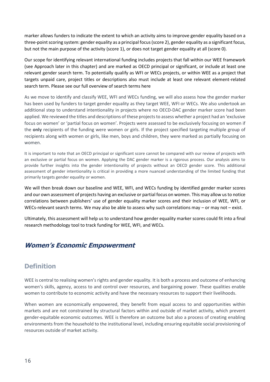marker allows funders to indicate the extent to which an activity aims to improve gender equality based on a three-point scoring system: gender equality as a principal focus (score 2), gender equality as a significant focus, but not the main purpose of the activity (score 1), or does not target gender equality at all (score 0).

Our scope for identifying relevant international funding includes projects that fall within our WEE framework (see Approach later in this chapter) and are marked as OECD principal or significant, or include at least one relevant gender search term. To potentially qualify as WFI or WECs projects, or within WEE as a project that targets unpaid care, project titles or descriptions also must include at least one relevant element-related search term. Please see our full overview of search terms here

As we move to identify and classify WEE, WFI and WECs funding, we will also assess how the gender marker has been used by funders to target gender equality as they target WEE, WFI or WECs. We also undertook an additional step to understand intentionality in projects where no OECD-DAC gender marker score had been applied. We reviewed the titles and descriptions of these projects to assess whether a project had an 'exclusive focus on women' or 'partial focus on women'. Projects were assessed to be exclusively focusing on women if the **only** recipients of the funding were women or girls. If the project specified targeting multiple group of recipients along with women or girls, like men, boys and children, they were marked as partially focusing on women.

It is important to note that an OECD principal or significant score cannot be compared with our review of projects with an exclusive or partial focus on women. Applying the DAC gender marker is a rigorous process. Our analysis aims to provide further insights into the gender intentionality of projects without an OECD gender score. This additional assessment of gender intentionality is critical in providing a more nuanced understanding of the limited funding that primarily targets gender equality or women.

We will then break down our baseline and WEE, WFI, and WECs funding by identified gender marker scores and our own assessment of projects having an exclusive or partial focus on women. This may allow us to notice correlations between publishers' use of gender equality marker scores and their inclusion of WEE, WFI, or WECs-relevant search terms. We may also be able to assess why such correlations may – or may not – exist.

Ultimately, this assessment will help us to understand how gender equality marker scores could fit into a final research methodology tool to track funding for WEE, WFI, and WECs.

# <span id="page-15-0"></span>**Women's Economic Empowerment**

# **Definition**

WEE is central to realising women's rights and gender equality. It is both a process and outcome of enhancing women's skills, agency, access to and control over resources, and bargaining power. These qualities enable women to contribute to economic activity and have the necessary resources to support their livelihoods.

When women are economically empowered, they benefit from equal access to and opportunities within markets and are not constrained by structural factors within and outside of market activity, which prevent gender-equitable economic outcomes. WEE is therefore an outcome but also a process of creating enabling environments from the household to the institutional level, including ensuring equitable social provisioning of resources outside of market activity.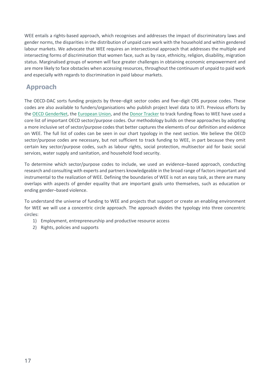WEE entails a rights-based approach, which recognises and addresses the impact of discriminatory laws and gender norms, the disparities in the distribution of unpaid care work with the household and within gendered labour markets. We advocate that WEE requires an intersectional approach that addresses the multiple and intersecting forms of discrimination that women face, such as by race, ethnicity, religion, disability, migration status. Marginalised groups of women will face greater challenges in obtaining economic empowerment and are more likely to face obstacles when accessing resources, throughout the continuum of unpaid to paid work and especially with regards to discrimination in paid labour markets.

# **Approach**

The OECD-DAC sorts funding projects by three–digit sector codes and five–digit CRS purpose codes. These codes are also available to funders/organisations who publish project level data to IATI. Previous efforts by the OECD [GenderNet,](https://www.oecd.org/dac/gender-development/Tracking-the-money-for-womens-economic-empowerment.pdf) th[e European Union,](https://www.empowerwomen.org/en/projects/we-empower-g7) and the [Donor Tracker](https://donortracker.org/insights/investing-shared-prosperity-financing-womens-economic-empowerment) to track funding flows to WEE have used a core list of important OECD sector/purpose codes. Our methodology builds on these approaches by adopting a more inclusive set of sector/purpose codes that better captures the elements of our definition and evidence on WEE. The full list of codes can be seen in our chart typology in the next section. We believe the OECD sector/purpose codes are necessary, but not sufficient to track funding to WEE, in part because they omit certain key sector/purpose codes, such as labour rights, social protection, multisector aid for basic social services, water supply and sanitation, and household food security.

To determine which sector/purpose codes to include, we used an evidence–based approach, conducting research and consulting with experts and partners knowledgeable in the broad range of factors important and instrumental to the realization of WEE. Defining the boundaries of WEE is not an easy task, as there are many overlaps with aspects of gender equality that are important goals unto themselves, such as education or ending gender–based violence.

To understand the universe of funding to WEE and projects that support or create an enabling environment for WEE we will use a concentric circle approach. The approach divides the typology into three concentric circles:

- 1) Employment, entrepreneurship and productive resource access
- 2) Rights, policies and supports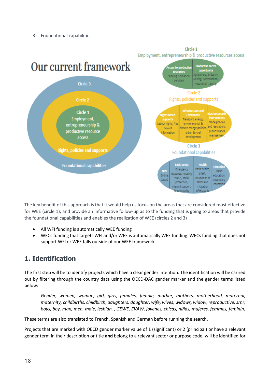

Circle 1 Employment, entrepreneurship & productive resources access

The key benefit of this approach is that it would help us focus on the areas that are considered most effective for WEE (circle 1), and provide an informative follow-up as to the funding that is going to areas that provide the foundational capabilities and enables the realization of WEE (circles 2 and 3)

- All WFI funding is automatically WEE funding
- WECs funding that targets WFI and/or WEE is automatically WEE funding. WECs funding that does not support WFI or WEE falls outside of our WEE framework.

# **1. Identification**

The first step will be to identify projects which have a clear gender intention. The identification will be carried out by filtering through the country data using the OECD-DAC gender marker and the gender terms listed below:

*Gender, women, woman, girl, girls, females, female, mother, mothers, motherhood, maternal, maternity, childbirths, childbirth, daughters, daughter, wife, wives, widows, widow, reproductive, srhr, boys, boy, man, men, male, lesbian, , GEWE, EVAW, jóvenes, chicas, niñas, mujeres, femmes, féminin,*

These terms are also translated to French, Spanish and German before running the search.

Projects that are marked with OECD gender marker value of 1 (significant) or 2 (principal) or have a relevant gender term in their description or title **and** belong to a relevant sector or purpose code, will be identified for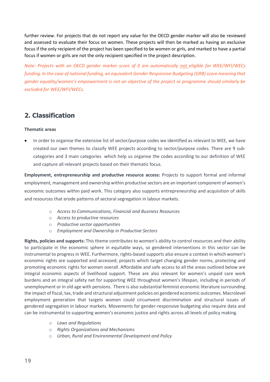further review. For projects that do not report any value for the OECD gender marker will also be reviewed and assessed to evaluate their focus on women. These projects will then be marked as having an exclusive focus if the only recipient of the project has been specified to be women or girls, and marked to have a partial focus if women or girls are not the only recipient specified in the project description.

*Note: Projects with an OECD gender marker score of 0 are automatically not eligible for WEE/WFI/WECs funding. In the case of national funding, an equivalent Gender Responsive Budgeting (GRB) score meaning that gender equality/women's empowerment is not an objective of the project or programme should similarly be excluded for WEE/WFI/WECs.*

# **2. Classification**

#### **Thematic areas**

• In order to organise the extensive list of sector/purpose codes we identified as relevant to WEE, we have created our own themes to classify WEE projects according to sector/purpose codes. There are 9 subcategories and 3 main categories which help us organise the codes according to our definition of WEE and capture all relevant projects based on their thematic focus.

**Employment, entrepreneurship and productive resource access:** Projects to support formal and informal employment, management and ownership within productive sectors are an important component of women's economic outcomes within paid work. This category also supports entrepreneurship and acquisition of skills and resources that erode patterns of sectoral segregation in labour markets.

- o *Access to Communications, Financial and Business Resources*
- o *Access to productive resources*
- o *Productive sector opportunities*
- o *Employment and Ownership in Productive Sectors*

**Rights, policies and supports:** This theme contributes to women's ability to control resources and their ability to participate in the economic sphere in equitable ways, so gendered interventions in this sector can be instrumental to progress in WEE. Furthermore, rights-based supports also ensure a context in which women's economic rights are supported and accessed; projects which target changing gender norms, protecting and promoting economic rights for women overall. Affordable and safe access to all the areas outlined below are integral economic aspects of livelihood support. These are also relevant for women's unpaid care work burdens and an integral safety net for supporting WEE throughout women's lifespan, including in periods of unemployment or in old age with pensions. There is also substantial feminist economic literature surrounding the impact of fiscal, tax, trade and structural adjustment policies on gendered economic outcomes. Macrolevel employment generation that targets women could circumvent discrimination and structural issues of gendered segregation in labour markets. Movements for gender-responsive budgeting also require data and can be instrumental to supporting women's economic justice and rights across all levels of policy making.

- o *Laws and Regulations*
- o *Rights Organizations and Mechanisms*
- o *Urban, Rural and Environmental Development and Policy*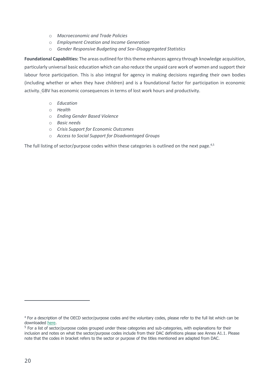- o *Macroeconomic and Trade Policies*
- o *Employment Creation and Income Generation*
- o *Gender Responsive Budgeting and Sex–Disaggregated Statistics*

**Foundational Capabilities:** The areas outlined for this theme enhances agency through knowledge acquisition, particularly universal basic education which can also reduce the unpaid care work of women and support their labour force participation. This is also integral for agency in making decisions regarding their own bodies (including whether or when they have children) and is a foundational factor for participation in economic activity. GBV has economic consequences in terms of lost work hours and productivity.

- o *Education*
- o *Health*
- o *Ending Gender Based Violence*
- o *Basic needs*
- o *Crisis Support for Economic Outcomes*
- o *Access to Social Support for Disadvantaged Groups*

The full listing of sector/purpose codes within these categories is outlined on the next page.<sup>4,5</sup>

**.** 

<sup>4</sup> For a description of the OECD sector/purpose codes and the voluntary codes, please refer to the full list which can be downloaded [here.](https://www.oecd.org/development/financing-sustainable-development/development-finance-standards/dacandcrscodelists.htm)

<sup>&</sup>lt;sup>5</sup> For a list of sector/purpose codes grouped under these categories and sub-categories, with explanations for their inclusion and notes on what the sector/purpose codes include from their DAC definitions please see Annex A1.1. Please note that the codes in bracket refers to the sector or purpose of the titles mentioned are adapted from DAC.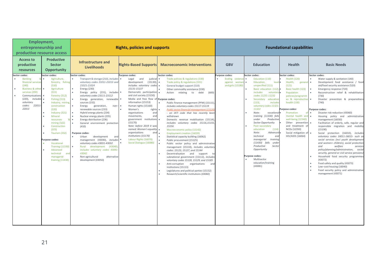| <b>Employment,</b><br>entrepreneurship and<br>productive resource access                                                                                                                                                                                                                                                                                                                                                                                                                                                                                                 |                                                                                                                                                                                                                                                                                                                                                                                                                                                                                                                                                                                                                                                                                                                                                                                                                          | <b>Rights, policies and supports</b>                                                                                                                                                                                                                                                                                                                                                                                                                                                                                   |                                                                                                                                                                                                                                                                                                                                                                                                                                                                                                                                                                                                                                                                                                                                                                                                                                                                                                                                                                                                                                                                         |                                                                          |                                                                                                                                                                                                                                                                                                                                                                                                                                                                                                                                                                                                                  | <b>Foundational capabilities</b>                                                                                                                                                                                                                                                                                                                               |                                                                                                                                                                                                                                                                                                                                                                                                                                                                                                                                                                                                                                                                                                                                                                                                                                                                                                                                                                                                                   |
|--------------------------------------------------------------------------------------------------------------------------------------------------------------------------------------------------------------------------------------------------------------------------------------------------------------------------------------------------------------------------------------------------------------------------------------------------------------------------------------------------------------------------------------------------------------------------|--------------------------------------------------------------------------------------------------------------------------------------------------------------------------------------------------------------------------------------------------------------------------------------------------------------------------------------------------------------------------------------------------------------------------------------------------------------------------------------------------------------------------------------------------------------------------------------------------------------------------------------------------------------------------------------------------------------------------------------------------------------------------------------------------------------------------|------------------------------------------------------------------------------------------------------------------------------------------------------------------------------------------------------------------------------------------------------------------------------------------------------------------------------------------------------------------------------------------------------------------------------------------------------------------------------------------------------------------------|-------------------------------------------------------------------------------------------------------------------------------------------------------------------------------------------------------------------------------------------------------------------------------------------------------------------------------------------------------------------------------------------------------------------------------------------------------------------------------------------------------------------------------------------------------------------------------------------------------------------------------------------------------------------------------------------------------------------------------------------------------------------------------------------------------------------------------------------------------------------------------------------------------------------------------------------------------------------------------------------------------------------------------------------------------------------------|--------------------------------------------------------------------------|------------------------------------------------------------------------------------------------------------------------------------------------------------------------------------------------------------------------------------------------------------------------------------------------------------------------------------------------------------------------------------------------------------------------------------------------------------------------------------------------------------------------------------------------------------------------------------------------------------------|----------------------------------------------------------------------------------------------------------------------------------------------------------------------------------------------------------------------------------------------------------------------------------------------------------------------------------------------------------------|-------------------------------------------------------------------------------------------------------------------------------------------------------------------------------------------------------------------------------------------------------------------------------------------------------------------------------------------------------------------------------------------------------------------------------------------------------------------------------------------------------------------------------------------------------------------------------------------------------------------------------------------------------------------------------------------------------------------------------------------------------------------------------------------------------------------------------------------------------------------------------------------------------------------------------------------------------------------------------------------------------------------|
| <b>Productive</b><br><b>Access to</b><br>productive<br><b>Sector</b><br><b>Opportunity</b><br>resources                                                                                                                                                                                                                                                                                                                                                                                                                                                                  | Infrastructure and<br><b>Livelihoods</b>                                                                                                                                                                                                                                                                                                                                                                                                                                                                                                                                                                                                                                                                                                                                                                                 | <b>Rights-Based Supports</b>                                                                                                                                                                                                                                                                                                                                                                                                                                                                                           | <b>Macroeconomic Interventions</b>                                                                                                                                                                                                                                                                                                                                                                                                                                                                                                                                                                                                                                                                                                                                                                                                                                                                                                                                                                                                                                      | <b>GBV</b>                                                               | <b>Education</b>                                                                                                                                                                                                                                                                                                                                                                                                                                                                                                                                                                                                 | <b>Health</b>                                                                                                                                                                                                                                                                                                                                                  | <b>Basic Needs</b>                                                                                                                                                                                                                                                                                                                                                                                                                                                                                                                                                                                                                                                                                                                                                                                                                                                                                                                                                                                                |
| Sector codes:<br>Sector codes:<br><b>Banking</b><br>Agriculture,<br>$\bullet$<br>₹.<br>financial services<br>(240)<br>(310)<br>Business & other •<br>Agriculture<br>$\bullet$<br>services (250)<br>(311)<br>Forestry (312)<br>$\bullet$<br>Communications •<br>$(220)$ ,<br>includes •<br>Fishing (313)<br>voluntary<br>codes:<br>22011-<br>construction<br>22013<br>(320)<br>Industry (321)<br>Mineral<br>resources<br>mining(322)<br>Construction<br>(323)<br>Tourism (332)<br>Purpose codes:<br>Vocational<br>Advanced<br>technical<br>managerial<br>training (11430) | Sector codes:<br>Transport & storage (210), includes<br>forestry, fishing<br>voluntary codes 21011-21013 and<br>21021-21024<br>Energy (230)<br>٠<br>Energy policy (231), includes .<br>voluntary codes 23111-23112<br>$\bullet$<br>Energy generation, renewable<br>Industry, mining,<br>sources (232)<br>Energy<br>generation,<br>non-<br>renewable sources (233)<br>Hybrid energy plants (234)<br>Nuclear energy plants (235)<br>$\bullet$<br>Energy distribution (236)<br>$\bullet$<br>General environment protection<br>(410)<br>Purpose codes:<br>Urban<br>development<br>and<br>management (43030),<br>includes<br>voluntary codes 43031-43032<br>Training (11330) •<br>development<br>(43040)<br>Rural<br>includes voluntary codes 43041<br>43042<br>and<br>Non-agricultural<br>alternative<br>development (43050) | Purpose codes:<br>and<br>judicia<br>Legal<br>(15130)<br>development<br>includes voluntary codes<br>15131-15137<br>Democratic participation<br>and civil society (15150)<br>Media and free flow of<br>information (15153)<br>Human rights (15160)<br>Women's<br>rights<br>organisations<br>and<br>and<br>movements,<br>government<br>institutions<br>(15170)<br>Note: before 2019 it was<br>named: Women's equality<br>organisations<br>and<br>institutions (15170)<br>Labour Rights (16070)<br>Social Dialogue (16080) | Sector codes:<br>Trade policies & regulations (330)<br>Trade policy & regulations (331)<br>General budget support (510)<br>Other commodity assistance (530)<br>Action<br>relating<br>debt<br>(600)<br>to<br>Purpose codes:<br>Public finance management (PFM) (15111),<br>includes voluntary codes 15117-15119<br>Public sector financial management (1512)<br>- an IATI code that has recently beer<br>withdrawn<br>Domestic revenue mobilisation (15114),<br>includes voluntary codes 15116,15155,<br>15156<br>Macroeconomic policy (15142)<br>٠<br><b>Employment creation (16020)</b><br>Statistical capacity building (16062)<br>Public procurement (15125)<br>Public sector policy and administrative<br>management (15110), includes voluntary<br>codes: 15123, 15127, and 15144<br>Decentralisation and support<br>subnational government (15112), includes<br>voluntary codes 15128, 15129, and 15185<br>Anti-corruption organisations<br>and<br>institutions (15113)<br>Legislatures and political parties (15152)<br>Research/scientific institutions (43082) | Purpose codes:<br>Ending violence<br>against<br>wome<br>and girls (15180 | Sector codes:<br>Education (110)<br>Education,<br>level •<br>unspecified (111)<br>Basic education (112),<br><i>includes</i><br>voluntary<br>codes 11231-11232<br>Secondary<br>education<br>$(113)$ ,<br><i>includes</i><br>voluntary codes 11321<br>11322<br>Note:<br>vocational <sup>®</sup><br>training (11330) fall<br>Productive<br>under<br>Sector Opportunity<br>Post-secondary<br>(114)<br>education<br>Note:<br>Advanced<br>technical<br>and<br>training<br>managerial<br>(11430) falls<br>under<br>Secto<br>Productive<br>Opportunity<br>Purpose codes:<br>Multisector<br>education/training<br>(43081) | Sector codes:<br><b>Health (120)</b><br>Health,<br>general<br>(121)<br>Basic health (122)<br>Population<br>policies/programm<br>es & reproductive<br>health (130)<br>Purpose codes:<br>Promotion<br>of<br>mental health and •<br>well-being (12340)<br>Other prevention<br>and treatment of<br>NCDs (12350)<br>Social mitigation of<br><b>HIV/AIDS (16064)</b> | Sector codes:<br>Water supply & sanitation (140)<br>Development food assistance / food<br>$\bullet$<br>aid/food security assistance (520)<br>Emergency response (720)<br>Reconstruction relief & rehabilitation<br>$\bullet$<br>(730)<br>Disaster prevention & preparedness<br>$\bullet$<br>(740)<br>Purpose codes:<br>Disaster risk reduction (43060)<br>$\bullet$<br>Housing policy and administrative<br>management (16030)<br>Facilitation of orderly, safe, regular and<br>responsible migration and mobility<br>(15190)<br>Social<br>protection (16010), includes<br>voluntary codes 16011-16015- such as<br>social services (incl youth development<br>and women+ children), social protection<br>and<br>welfare<br>services<br>policy/planning/administration,<br>social<br>security, general or civil service pensions)<br>Household food security programmes<br>(43072)<br>Food safety and quality (43073)<br>Low-cost housing (16040)<br>Food security policy and administrative<br>management (43071) |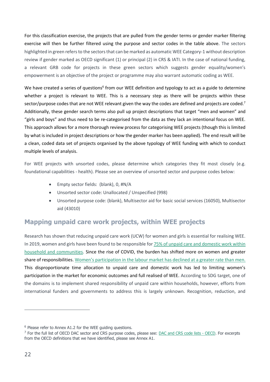For this classification exercise, the projects that are pulled from the gender terms or gender marker filtering exercise will then be further filtered using the purpose and sector codes in the table above. The sectors highlighted in green refers to the sectors that can be marked as automatic WEE Category-1 without description review if gender marked as OECD significant (1) or principal (2) in CRS & IATI. In the case of national funding, a relevant GRB code for projects in these green sectors which suggests gender equality/women's empowerment is an objective of the project or programme may also warrant automatic coding as WEE.

We have created a series of questions<sup>6</sup> from our WEE definition and typology to act as a guide to determine whether a project is relevant to WEE. This is a necessary step as there will be projects within these sector/purpose codes that are not WEE relevant given the way the codes are defined and projects are coded.<sup>7</sup> Additionally, these gender search terms also pull up project descriptions that target "men and women" and "girls and boys" and thus need to be re-categorised from the data as they lack an intentional focus on WEE. This approach allows for a more thorough review process for categorising WEE projects (though this is limited by what is included in project descriptions or how the gender marker has been applied). The end result will be a clean, coded data set of projects organised by the above typology of WEE funding with which to conduct multiple levels of analysis.

For WEE projects with unsorted codes, please determine which categories they fit most closely (e.g. foundational capabilities - health). Please see an overview of unsorted sector and purpose codes below:

- Empty sector fields: (blank), 0, #N/A
- Unsorted sector code: Unallocated / Unspecified (998)
- Unsorted purpose code: (blank), Multisector aid for basic social services (16050), Multisector aid (43010)

# **Mapping unpaid care work projects, within WEE projects**

Research has shown that reducing unpaid care work (UCW) for women and girls is essential for realising WEE. In 2019, women and girls have been found to be responsible fo[r 75% of unpaid care and domestic work within](https://oecd-development-matters.org/2019/03/18/why-you-should-care-about-unpaid-care-work/)  [household and communities.](https://oecd-development-matters.org/2019/03/18/why-you-should-care-about-unpaid-care-work/) Since the rise of COVID, the burden has shifted more on women and greater share of responsibilities. [Women's participation in the labour marke](https://read.oecd-ilibrary.org/view/?ref=1122_1122019-pxf57r6v6k&title=Caregiving-in-crisis-Gender-inequality-in-paid-and-unpaid-work-during-COVID-19)t has declined at a greater rate than men. This disproportionate time allocation to unpaid care and domestic work has led to limiting women's participation in the market for economic outcomes and full realised of WEE. According to SDG target, one of the domains is to implement shared responsibility of unpaid care within households, however, efforts from international funders and governments to address this is largely unknown. Recognition, reduction, and

<u>.</u>

 $6$  Please refer to Annex A1.2 for the WEE quiding questions.

<sup>&</sup>lt;sup>7</sup> For the full list of OECD DAC sector and CRS purpose codes, please see: [DAC and CRS code lists -](http://www.oecd.org/development/financing-sustainable-development/development-finance-standards/dacandcrscodelists.htm) OECD. For excerpts from the OECD definitions that we have identified, please see Annex A1.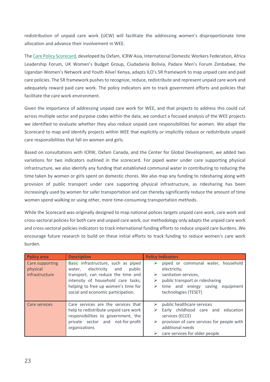redistribution of unpaid care work (UCW) will facilitate the addressing women's disproportionate time allocation and advance their involvement in WEE.

Th[e Care Policy Scorecard,](https://oxfamilibrary.openrepository.com/bitstream/handle/10546/621287/bp-care-policy-scorecard-240921-en.pdf?sequence=17.) developed by Oxfam, ICRW Asia, International Domestic Workers Federation, Africa Leadership Forum, UK Women's Budget Group, Ciudadanía Bolivia, Padare Men's Forum Zimbabwe, the Ugandan Women's Network and Youth Alive! Kenya, adapts ILO's 5R framework to map unpaid care and paid care policies. The 5R framework pushes to recognize, reduce, redistribute and represent unpaid care work and adequately reward paid care work. The policy indicators aim to track government efforts and policies that facilitate the care work environment.

Given the importance of addressing unpaid care work for WEE, and that projects to address this could cut across multiple sector and purpose codes within the data, we conduct a focused analysis of the WEE projects we identified to evaluate whether they also reduce unpaid care responsibilities for women. We adapt the Scorecard to map and identify projects within WEE that explicitly or implicitly reduce or redistribute unpaid care responsibilities that fall on women and girls.

Based on consultations with ICRW, Oxfam Canada, and the Center for Global Development, we added two variations for two indicators outlined in the scorecard. For piped water under care supporting physical infrastructure, we also identify any funding that established communal water in contributing to reducing the time taken by women or girls spent on domestic chores. We also map any funding to ridesharing along with provision of public transport under care supporting physical infrastructure, as ridesharing has been increasingly used by women for safer transportation and can thereby significantly reduce the amount of time women spend walking or using other, more time-consuming transportation methods.

While the Scorecard was originally designed to map national polices targets unpaid care work, care work and cross-sectoral policies for both care and unpaid care work, our methodology only adapts the unpaid care work and cross-sectoral policies indicators to track international funding efforts to reduce unpaid care burdens. We encourage future research to build on these initial efforts to track funding to reduce women's care work burden.

| <b>Policy area</b>                            | <b>Description</b>                                                                                                                                                                                                                  | <b>Policy Indicators</b>                                                                                                                                                                                    |
|-----------------------------------------------|-------------------------------------------------------------------------------------------------------------------------------------------------------------------------------------------------------------------------------------|-------------------------------------------------------------------------------------------------------------------------------------------------------------------------------------------------------------|
| Care supporting<br>physical<br>infrastructure | Basic infrastructure, such as piped<br>electricity and<br>public<br>water,<br>transport, can reduce the time and<br>intensity of household care tasks,<br>helping to free up women's time for<br>social and economic participation. | piped or communal water, household<br>➤<br>electricity,<br>sanitation services,<br>➤<br>public transport or ridesharing<br>➤<br>time and energy saving equipment<br>➤<br>technologies (TESET)               |
| Care services                                 | Care services are the services that<br>help to redistribute unpaid care work<br>responsibilities to government, the<br>private sector and not-for-profit<br>organizations                                                           | public healthcare services<br>➤<br>Early childhood care and education<br>➤<br>services (ECCE)<br>provision of care services for people with<br>➤<br>additional needs<br>care services for older people<br>➤ |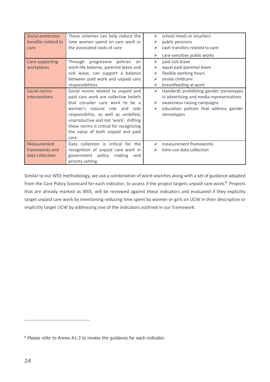| Social protection<br>benefits related to<br>care | These schemes can help reduce the<br>time women spend on care work or<br>the associated costs of care | ≻<br>⋗<br>⋗ | school meals or vouchers<br>public pensions<br>cash transfers related to care |
|--------------------------------------------------|-------------------------------------------------------------------------------------------------------|-------------|-------------------------------------------------------------------------------|
|                                                  |                                                                                                       | ➤           | care-sensitive public works                                                   |
| Care supporting                                  | Through<br>progressive<br>policies<br>on                                                              | ➤           | paid sick leave                                                               |
| workplaces                                       | work-life balance, parental leave and                                                                 | ⋗           | equal paid parental leave                                                     |
|                                                  | sick leave, can support a balance                                                                     | ⋗           | flexible working hours                                                        |
|                                                  | between paid work and unpaid care                                                                     | ⋗           | onsite childcare                                                              |
|                                                  | responsibilities                                                                                      | ➤           | breastfeeding at work                                                         |
| Social norms                                     | Social norms related to unpaid and                                                                    | ➤           | standards prohibiting gender stereotypes                                      |
| interventions                                    | paid care work are collective beliefs                                                                 |             | in advertising and media representations                                      |
|                                                  | that consider care work to be a                                                                       | ➤           | awareness-raising campaigns                                                   |
|                                                  | woman's natural role and sole                                                                         | ➤           | education policies that address gender                                        |
|                                                  | responsibility, as well as unskilled,                                                                 |             | stereotypes                                                                   |
|                                                  | unproductive and not 'work', shifting                                                                 |             |                                                                               |
|                                                  | these norms is critical for recognizing                                                               |             |                                                                               |
|                                                  | the value of both unpaid and paid                                                                     |             |                                                                               |
|                                                  | care.                                                                                                 |             |                                                                               |
| Measurement                                      | Data collection is critical for the                                                                   | ⋗           | measurement frameworks                                                        |
| frameworks and                                   | recognition of unpaid care work in                                                                    | ➤           | time-use data collection                                                      |
| data collection                                  | government policy<br>making<br>and                                                                    |             |                                                                               |
|                                                  | priority setting                                                                                      |             |                                                                               |

Similar to our WEE methodology, we use a combination of word searches along with a set of guidance adapted from the Care Policy Scorecard for each indicator, to assess if the project targets unpaid care work.<sup>8</sup> Projects that are already marked as WEE, will be reviewed against these indicators and evaluated if they explicitly target unpaid care work by mentioning reducing time spent by women or girls on UCW in their description or implicitly target UCW by addressing one of the indicators outlined in our framework.

 $\overline{a}$ 

<sup>&</sup>lt;sup>8</sup> Please refer to Annex A1.3 to review the guidance for each indicator.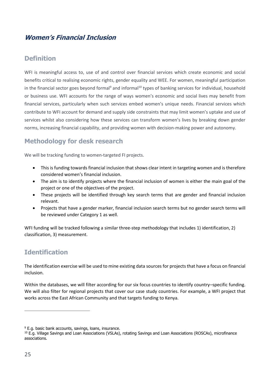# <span id="page-24-0"></span>**Women's Financial Inclusion**

# **Definition**

WFI is meaningful access to, use of and control over financial services which create economic and social benefits critical to realising economic rights, gender equality and WEE. For women, meaningful participation in the financial sector goes beyond formal<sup>9</sup> and informal<sup>10</sup> types of banking services for individual, household or business use. WFI accounts for the range of ways women's economic and social lives may benefit from financial services, particularly when such services embed women's unique needs. Financial services which contribute to WFI account for demand and supply side constraints that may limit women's uptake and use of services whilst also considering how these services can transform women's lives by breaking down gender norms, increasing financial capability, and providing women with decision-making power and autonomy.

# **Methodology for desk research**

We will be tracking funding to women-targeted FI projects.

- This is funding towards financial inclusion that shows clear intent in targeting women and is therefore considered women's financial inclusion.
- The aim is to identify projects where the financial inclusion of women is either the main goal of the project or one of the objectives of the project.
- These projects will be identified through key search terms that are gender and financial inclusion relevant.
- Projects that have a gender marker, financial inclusion search terms but no gender search terms will be reviewed under Category 1 as well.

WFI funding will be tracked following a similar three-step methodology that includes 1) identification, 2) classification, 3) measurement.

# **Identification**

The identification exercise will be used to mine existing data sources for projects that have a focus on financial inclusion.

Within the databases, we will filter according for our six focus countries to identify country–specific funding. We will also filter for regional projects that cover our case study countries. For example, a WFI project that works across the East African Community and that targets funding to Kenya.

**.** 

<sup>&</sup>lt;sup>9</sup> E.g. basic bank accounts, savings, loans, insurance.

<sup>&</sup>lt;sup>10</sup> E.g. Village Savings and Loan Associations (VSLAs), rotating Savings and Loan Associations (ROSCAs), microfinance associations.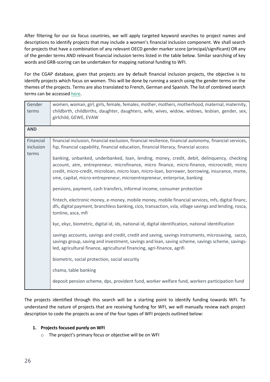After filtering for our six focus countries, we will apply targeted keyword searches to project names and descriptions to identify projects that may include a women's financial inclusion component. We shall search for projects that have a combination of any relevant OECD gender marker score (principal/significant) OR any of the gender terms AND relevant financial inclusion terms listed in the table below. Similar searching of key words and GRB-scoring can be undertaken for mapping national funding to WFI.

For the CGAP database, given that projects are by default financial inclusion projects, the objective is to identify projects which focus on women. This will be done by running a search using the gender terms on the themes of the projects. Terms are also translated to French, German and Spanish. The list of combined search terms can be accessed [here.](https://www.publishwhatyoufund.org/download/wee-search-terms/)

| Gender<br>terms        | women, woman, girl, girls, female, females, mother, mothers, motherhood, maternal, maternity,<br>childbirth, childbirths, daughter, daughters, wife, wives, widow, widows, lesbian, gender, sex,<br>girlchild, GEWE, EVAW                                                                                                                                              |
|------------------------|------------------------------------------------------------------------------------------------------------------------------------------------------------------------------------------------------------------------------------------------------------------------------------------------------------------------------------------------------------------------|
| <b>AND</b>             |                                                                                                                                                                                                                                                                                                                                                                        |
| Financial<br>inclusion | financial inclusion, financial exclusion, financial resilience, financial autonomy, financial services,<br>fsp, financial capability, financial education, financial literacy, financial access                                                                                                                                                                        |
| terms                  | banking, unbanked, underbanked, loan, lending, money, credit, debit, delinquency, checking<br>account, atm, entrepreneur, microfinance, micro finance, micro-finance, microcredit, micro<br>credit, micro-credit, microloan, micro loan, micro-loan, borrower, borrowing, insurance, msme,<br>sme, capital, micro-entrepreneur, microentrepreneur, enterprise, banking |
|                        | pensions, payment, cash transfers, informal income, consumer protection                                                                                                                                                                                                                                                                                                |
|                        | fintech, electronic money, e-money, mobile money, mobile financial services, mfs, digital financ,<br>dfs, digital payment, branchless banking, cico, transaction, vsla, village savings and lending, rosca,<br>tontine, asca, mfi                                                                                                                                      |
|                        | kyc, ekyc, biometric, digital id, ids, national id, digital identification, national identification                                                                                                                                                                                                                                                                    |
|                        | savings accounts, savings and credit, credit and saving, savings instruments, microsaving, sacco,<br>savings group, saving and investment, savings and loan, saving scheme, savings scheme, savings-<br>led, agricultural finance, agricultural financing, agri-finance, agrifi                                                                                        |
|                        | biometric, social protection, social security                                                                                                                                                                                                                                                                                                                          |
|                        | chama, table banking                                                                                                                                                                                                                                                                                                                                                   |
|                        | deposit pension scheme, dps, provident fund, worker welfare fund, workers participation fund                                                                                                                                                                                                                                                                           |

The projects identified through this search will be a starting point to identify funding towards WFI. To understand the nature of projects that are receiving funding for WFI, we will manually review each project description to code the projects as one of the four types of WFI projects outlined below:

#### **1. Projects focused purely on WFI**

o The project's primary focus or objective will be on WFI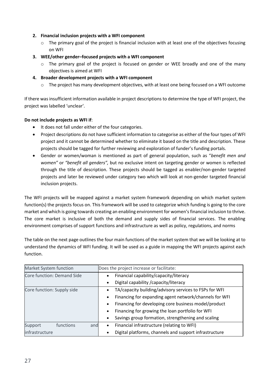#### **2. Financial inclusion projects with a WFI component**

 $\circ$  The primary goal of the project is financial inclusion with at least one of the objectives focusing on WFI

#### **3. WEE/other gender–focused projects with a WFI component**

 $\circ$  The primary goal of the project is focused on gender or WEE broadly and one of the many objectives is aimed at WFI

#### **4. Broader development projects with a WFI component**

 $\circ$  The project has many development objectives, with at least one being focused on a WFI outcome

If there was insufficient information available in project descriptions to determine the type of WFI project, the project was labelled 'unclear'.

#### **Do not include projects as WFI if**:

- It does not fall under either of the four categories.
- Project descriptions do not have sufficient information to categorise as either of the four types of WFI project and it cannot be determined whether to eliminate it based on the title and description. These projects should be tagged for further reviewing and exploration of funder's funding portals.
- Gender or women/woman is mentioned as part of general population, such as "*benefit men and women"* or *"benefit all genders",* but no exclusive intent on targeting gender or women is reflected through the title of description. These projects should be tagged as enabler/non-gender targeted projects and later be reviewed under category two which will look at non-gender targeted financial inclusion projects.

The WFI projects will be mapped against a market system framework depending on which market system function(s) the projects focus on. This framework will be used to categorize which funding is going to the core market and which is going towards creating an enabling environment for women's financial inclusion to thrive. The core market is inclusive of both the demand and supply sides of financial services. The enabling environment comprises of support functions and infrastructure as well as policy, regulations, and norms

The table on the next page outlines the four main functions of the market system that we will be looking at to understand the dynamics of WFI funding. It will be used as a guide in mapping the WFI projects against each function.

| Market System function      | Does the project increase or facilitate:                            |  |
|-----------------------------|---------------------------------------------------------------------|--|
| Core function: Demand Side  | Financial capability/capacity/literacy<br>$\bullet$                 |  |
|                             | Digital capability / capacity/literacy<br>$\bullet$                 |  |
| Core function: Supply side  | TA/capacity building/advisory services to FSPs for WFI<br>$\bullet$ |  |
|                             | Financing for expanding agent network/channels for WFI<br>$\bullet$ |  |
|                             | Financing for developing core business model/product<br>$\bullet$   |  |
|                             | Financing for growing the loan portfolio for WFI<br>$\bullet$       |  |
|                             | Savings group formation, strengthening and scaling<br>$\bullet$     |  |
| functions<br>Support<br>and | Financial infrastructure (relating to WFI)<br>$\bullet$             |  |
| infrastructure              | Digital platforms, channels and support infrastructure<br>$\bullet$ |  |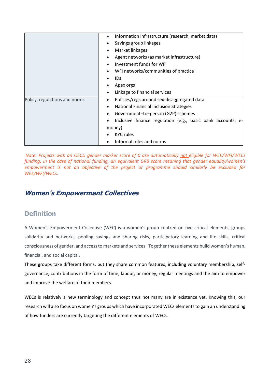|                               | Information infrastructure (research, market data)<br>$\bullet$          |
|-------------------------------|--------------------------------------------------------------------------|
|                               | Savings group linkages                                                   |
|                               | Market linkages<br>$\bullet$                                             |
|                               | Agent networks (as market infrastructure)                                |
|                               | Investment funds for WFI                                                 |
|                               | WFI networks/communities of practice                                     |
|                               | <b>IDs</b>                                                               |
|                               | Apex orgs                                                                |
|                               | Linkage to financial services<br>$\bullet$                               |
| Policy, regulations and norms | Policies/regs around sex-disaggregated data<br>$\bullet$                 |
|                               | National Financial Inclusion Strategies<br>$\bullet$                     |
|                               | Government-to-person (G2P) schemes                                       |
|                               | Inclusive finance regulation (e.g., basic bank accounts, e-<br>$\bullet$ |
|                               | money)                                                                   |
|                               | <b>KYC</b> rules                                                         |
|                               | Informal rules and norms<br>$\bullet$                                    |

*Note: Projects with an OECD gender marker score of 0 are automatically not eligible for WEE/WFI/WECs funding. In the case of national funding, an equivalent GRB score meaning that gender equality/women's empowerment is not an objective of the project or programme should similarly be excluded for WEE/WFI/WECs.*

# <span id="page-27-0"></span>**Women's Empowerment Collectives**

## **Definition**

A Women's Empowerment Collective (WEC) is a women's group centred on five critical elements; groups solidarity and networks, pooling savings and sharing risks, participatory learning and life skills, critical consciousness of gender, and access to markets and services. Together these elements build women's human, financial, and social capital.

These groups take different forms, but they share common features, including voluntary membership, selfgovernance, contributions in the form of time, labour, or money, regular meetings and the aim to empower and improve the welfare of their members.

WECs is relatively a new terminology and concept thus not many are in existence yet. Knowing this, our research will also focus on women's groups which have incorporated WECs elements to gain an understanding of how funders are currently targeting the different elements of WECs.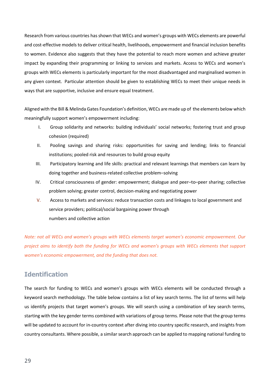Research from various countries has shown that WECs and women's groups with WECs elements are powerful and cost-effective models to deliver critical health, livelihoods, empowerment and financial inclusion benefits to women. Evidence also suggests that they have the potential to reach more women and achieve greater impact by expanding their programming or linking to services and markets. Access to WECs and women's groups with WECs elements is particularly important for the most disadvantaged and marginalised women in any given context. Particular attention should be given to establishing WECs to meet their unique needs in ways that are supportive, inclusive and ensure equal treatment.

Aligned with the Bill & Melinda Gates Foundation's definition, WECs are made up of the elements below which meaningfully support women's empowerment including:

- I. Group solidarity and networks: building individuals' social networks; fostering trust and group cohesion (required)
- II. Pooling savings and sharing risks: opportunities for saving and lending; links to financial institutions; pooled risk and resources to build group equity
- III. Participatory learning and life skills: practical and relevant learnings that members can learn by doing together and business-related collective problem–solving
- IV. Critical consciousness of gender: empowerment; dialogue and peer–to–peer sharing; collective problem solving; greater control, decision-making and negotiating power
- V. Access to markets and services: reduce transaction costs and linkages to local government and service providers; political/social bargaining power through numbers and collective action

*Note: not all WECs and women's groups with WECs elements target women's economic empowerment. Our project aims to identify both the funding for WECs and women's groups with WECs elements that support women's economic empowerment, and the funding that does not.*

## **Identification**

The search for funding to WECs and women's groups with WECs elements will be conducted through a keyword search methodology. The table below contains a list of key search terms. The list of terms will help us identify projects that target women's groups. We will search using a combination of key search terms, starting with the key gender terms combined with variations of group terms. Please note that the group terms will be updated to account for in-country context after diving into country specific research, and insights from country consultants. Where possible, a similar search approach can be applied to mapping national funding to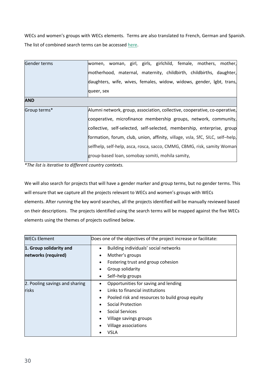WECs and women's groups with WECs elements. Terms are also translated to French, German and Spanish. The list of combined search terms can be accessed [here.](https://www.publishwhatyoufund.org/download/wee-search-terms/)

| Gender terms | women, woman, girl, girls, girlchild, female, mothers, mother,                |  |  |  |  |
|--------------|-------------------------------------------------------------------------------|--|--|--|--|
|              | motherhood, maternal, maternity, childbirth, childbirths, daughter,           |  |  |  |  |
|              | daughters, wife, wives, females, widow, widows, gender, lgbt, trans,          |  |  |  |  |
|              | queer, sex                                                                    |  |  |  |  |
| <b>AND</b>   |                                                                               |  |  |  |  |
| Group terms* | Alumni network, group, association, collective, cooperative, co-operative,    |  |  |  |  |
|              | cooperative, microfinance membership groups, network, community,              |  |  |  |  |
|              | collective, self-selected, self-selected, membership, enterprise, group       |  |  |  |  |
|              | formation, forum, club, union, affinity, village, vsla, SfC, SILC, self-help, |  |  |  |  |
|              | selfhelp, self-help, asca, rosca, sacco, CMMG, CBMG, risk, samity Woman       |  |  |  |  |
|              | group-based loan, somobay somiti, mohila samity,                              |  |  |  |  |

*\*The list is iterative to different country contexts.*

We will also search for projects that will have a gender marker and group terms, but no gender terms. This will ensure that we capture all the projects relevant to WECs and women's groups with WECs elements. After running the key word searches, all the projects identified will be manually reviewed based on their descriptions. The projects identified using the search terms will be mapped against the five WECs elements using the themes of projects outlined below.

| <b>WECs Element</b>            | Does one of the objectives of the project increase or facilitate: |  |  |  |
|--------------------------------|-------------------------------------------------------------------|--|--|--|
| 1. Group solidarity and        | Building individuals' social networks                             |  |  |  |
| networks (required)            | Mother's groups                                                   |  |  |  |
|                                | Fostering trust and group cohesion                                |  |  |  |
|                                | Group solidarity                                                  |  |  |  |
|                                | Self-help groups                                                  |  |  |  |
| 2. Pooling savings and sharing | Opportunities for saving and lending                              |  |  |  |
| risks                          | Links to financial institutions                                   |  |  |  |
|                                | Pooled risk and resources to build group equity                   |  |  |  |
|                                | Social Protection                                                 |  |  |  |
|                                | Social Services                                                   |  |  |  |
|                                | Village savings groups                                            |  |  |  |
|                                | Village associations                                              |  |  |  |
|                                | VSLA                                                              |  |  |  |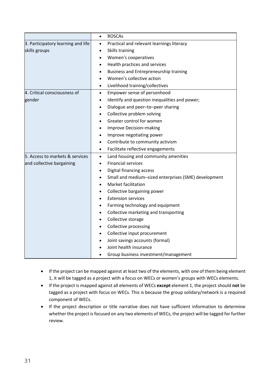|                                    | <b>ROSCAs</b>                                                     |  |  |
|------------------------------------|-------------------------------------------------------------------|--|--|
| 3. Participatory learning and life | Practical and relevant learnings literacy                         |  |  |
| skills groups                      | Skills training<br>$\bullet$                                      |  |  |
|                                    | Women's cooperatives<br>$\bullet$                                 |  |  |
|                                    | Health practices and services<br>$\bullet$                        |  |  |
|                                    | Business and Entrepreneurship training                            |  |  |
|                                    | Women's collective action                                         |  |  |
|                                    | Livelihood training/collectives<br>$\bullet$                      |  |  |
| 4. Critical consciousness of       | Empower sense of personhood<br>$\bullet$                          |  |  |
| gender                             | Identify and question inequalities and power;<br>$\bullet$        |  |  |
|                                    | Dialogue and peer-to-peer sharing                                 |  |  |
|                                    | Collective problem solving                                        |  |  |
|                                    | Greater control for women                                         |  |  |
|                                    | Improve Decision-making                                           |  |  |
|                                    | Improve negotiating power                                         |  |  |
|                                    | Contribute to community activism<br>$\bullet$                     |  |  |
|                                    | Facilitate reflective engagements<br>$\bullet$                    |  |  |
| 5. Access to markets & services    | Land housing and community amenities<br>$\bullet$                 |  |  |
| and collective bargaining          | <b>Financial services</b>                                         |  |  |
|                                    | Digital financing access<br>$\bullet$                             |  |  |
|                                    | Small and medium-sized enterprises (SME) development<br>$\bullet$ |  |  |
|                                    | Market facilitation                                               |  |  |
|                                    | Collective bargaining power                                       |  |  |
|                                    | <b>Extension services</b>                                         |  |  |
|                                    | Farming technology and equipment                                  |  |  |
|                                    | Collective marketing and transporting<br>$\bullet$                |  |  |
|                                    | Collective storage<br>$\bullet$                                   |  |  |
|                                    | <b>Collective processing</b>                                      |  |  |
|                                    | Collective input procurement<br>$\bullet$                         |  |  |
|                                    | Joint savings accounts (formal)                                   |  |  |
|                                    | Joint health insurance                                            |  |  |
|                                    | Group business investment/management                              |  |  |

- If the project can be mapped against at least two of the elements, with one of them being element 1, it will be tagged as a project with a focus on WECs or women's groups with WECs elements.
- If the project is mapped against all elements of WECs **except** element 1, the project should **not** be tagged as a project with focus on WECs. This is because the group solidary/network is a required component of WECs.
- If the project description or title narrative does not have sufficient information to determine whether the project is focused on any two elements of WECs, the project will be tagged for further review.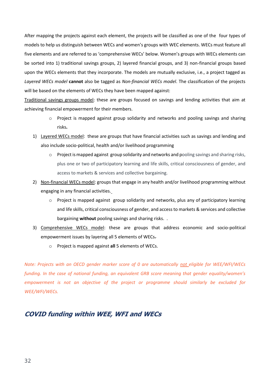After mapping the projects against each element, the projects will be classified as one of the four types of models to help us distinguish between WECs and women's groups with WEC elements. WECs must feature all five elements and are referred to as 'comprehensive WECs' below. Women's groups with WECs elements can be sorted into 1) traditional savings groups, 2) layered financial groups, and 3) non-financial groups based upon the WECs elements that they incorporate. The models are mutually exclusive, i.e., a project tagged as *Layered WECs model* **cannot** also be tagged as *Non-financial WECs model*. The classification of the projects will be based on the elements of WECs they have been mapped against:

Traditional savings groups model: these are groups focused on savings and lending activities that aim at achieving financial empowerment for their members.

- o Project is mapped against group solidarity and networks and pooling savings and sharing risks**.**
- 1) Layered WECs model: these are groups that have financial activities such as savings and lending and also include socio-political, health and/or livelihood programming
	- o Project is mapped against group solidarity and networks and pooling savings and sharing risks, plus one or two of participatory learning and life skills, critical consciousness of gender, and access to markets & services and collective bargaining.
- 2) Non-financial WECs model: groups that engage in any health and/or livelihood programming without engaging in any financial activities.
	- o Project is mapped against group solidarity and networks, plus any of participatory learning and life skills, critical consciousness of gender, and access to markets & services and collective bargaining **without** pooling savings and sharing risks. .
- 3) Comprehensive WECs model: these are groups that address economic and socio-political empowerment issues by layering all 5 elements of WECs.
	- o Project is mapped against **all** 5 elements of WECs.

*Note: Projects with an OECD gender marker score of 0 are automatically not eligible for WEE/WFI/WECs funding. In the case of national funding, an equivalent GRB score meaning that gender equality/women's empowerment is not an objective of the project or programme should similarly be excluded for WEE/WFI/WECs.*

#### <span id="page-31-0"></span>**COVID funding within WEE, WFI and WECs**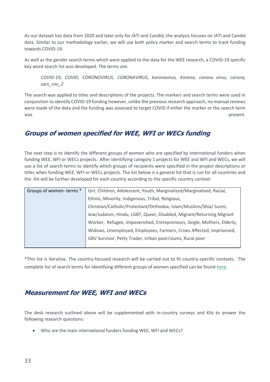As our dataset has data from 2020 and later only for IATI and Candid, the analysis focuses on IATI and Candid data. Similar to our methodology earlier, we will use both policy marker and search terms to track funding towards COVID-19.

As well as the gender search terms which were applied to the data for the WEE research, a COVID-19 specific key word search list was developed. The terms are:

*COVID-19; COVID; CORONOVIRUS, CORONAVIRUS, koronavirus, Korona, corona virus, corona, sars\_cov\_2*

The search was applied to titles and descriptions of the projects. The markers and search terms were used in conjunction to identify COVID-19 funding however, unlike the previous research approach, no manual reviews were made of the data and the funding was assessed to target COVID if either the marker or the search term was present.

# <span id="page-32-0"></span>**Groups of women specified for WEE, WFI or WECs funding**

The next step is to identify the different groups of women who are specified by international funders when funding WEE, WFI or WECs projects. After identifying category 1 projects for WEE and WFI and WECs, we will use a list of search terms to identify which groups of recipients were specified in the project descriptions or titles when funding WEE, WFI or WECs projects. The list below is a general list that is run for all countries and the list will be further developed for each country according to the specific country context:

| Groups of women-terms * | Girl, Children, Adolescent, Youth, Marginalized/Marginalised, Racial,   |  |  |  |  |
|-------------------------|-------------------------------------------------------------------------|--|--|--|--|
|                         | Ethnic, Minority, Indigenous, Tribal, Religious,                        |  |  |  |  |
|                         | Christian/Catholic/Protestant/Orthodox, Islam/Muslims/Shia/ Sunni,      |  |  |  |  |
|                         | Jew/Judaism, Hindu, LGBT, Queer, Disabled, Migrant/Returning Migrant    |  |  |  |  |
|                         | Worker, Refugee, Impoverished, Entrepreneurs, Single, Mothers, Elderly, |  |  |  |  |
|                         | Widows, Unemployed, Employees, Farmers, Crises Affected, Imprisoned,    |  |  |  |  |
|                         | GBV Survivor, Petty Trader, Urban poor/slums, Rural poor                |  |  |  |  |
|                         |                                                                         |  |  |  |  |

\*This list is iterative. The country-focused research will be carried out to fit country-specific contexts. The complete list of search terms for identifying different groups of women specified can be found [here.](https://www.publishwhatyoufund.org/download/wee-search-terms/)

# <span id="page-32-1"></span>**Measurement for WEE, WFI and WECs**

The desk research outlined above will be supplemented with in-country surveys and KIIs to answer the following research questions:

• Who are the main international funders funding WEE, WFI and WECs?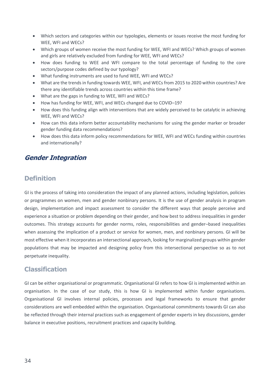- Which sectors and categories within our typologies, elements or issues receive the most funding for WEE, WFI and WECs?
- Which groups of women receive the most funding for WEE, WFI and WECs? Which groups of women and girls are relatively excluded from funding for WEE, WFI and WECs?
- How does funding to WEE and WFI compare to the total percentage of funding to the core sectors/purpose codes defined by our typology?
- What funding instruments are used to fund WEE, WFI and WECs?
- What are the trends in funding towards WEE, WFI, and WECs from 2015 to 2020 within countries? Are there any identifiable trends across countries within this time frame?
- What are the gaps in funding to WEE, WFI and WECs?
- How has funding for WEE, WFI, and WECs changed due to COVID–19?
- How does this funding align with interventions that are widely perceived to be catalytic in achieving WEE, WFI and WECs?
- How can this data inform better accountability mechanisms for using the gender marker or broader gender funding data recommendations?
- How does this data inform policy recommendations for WEE, WFI and WECs funding within countries and internationally?

## <span id="page-33-0"></span>**Gender Integration**

## **Definition**

GI is the process of taking into consideration the impact of any planned actions, including legislation, policies or programmes on women, men and gender nonbinary persons. It is the use of gender analysis in program design, implementation and impact assessment to consider the different ways that people perceive and experience a situation or problem depending on their gender, and how best to address inequalities in gender outcomes. This strategy accounts for gender norms, roles, responsibilities and gender–based inequalities when assessing the implication of a product or service for women, men, and nonbinary persons. GI will be most effective when it incorporates an intersectional approach, looking for marginalized groups within gender populations that may be impacted and designing policy from this intersectional perspective so as to not perpetuate inequality.

# **Classification**

GI can be either organisational or programmatic. Organisational GI refers to how GI is implemented within an organisation. In the case of our study, this is how GI is implemented within funder organisations. Organisational GI involves internal policies, processes and legal frameworks to ensure that gender considerations are well embedded within the organisation. Organisational commitments towards GI can also be reflected through their internal practices such as engagement of gender experts in key discussions, gender balance in executive positions, recruitment practices and capacity building.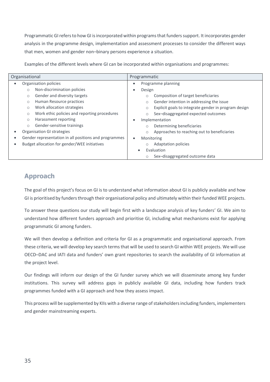Programmatic GI refers to how GI is incorporated within programs that funders support. It incorporates gender analysis in the programme design, implementation and assessment processes to consider the different ways that men, women and gender non–binary persons experience a situation.

Examples of the different levels where GI can be incorporated within organisations and programmes:

| Organisational                                                     |         |                                              |                                       | Programmatic                                                    |
|--------------------------------------------------------------------|---------|----------------------------------------------|---------------------------------------|-----------------------------------------------------------------|
| $\bullet$                                                          |         | Organisation policies                        |                                       | Programme planning                                              |
|                                                                    | $\circ$ | Non-discrimination policies                  | $\bullet$                             | Design                                                          |
|                                                                    | $\circ$ | Gender and diversity targets                 |                                       | Composition of target beneficiaries<br>$\circ$                  |
|                                                                    | $\circ$ | Human Resource practices                     |                                       | Gender intention in addressing the issue<br>$\circ$             |
|                                                                    | $\circ$ | Work allocation strategies                   |                                       | Explicit goals to integrate gender in program design<br>$\circ$ |
|                                                                    | $\circ$ | Work ethic policies and reporting procedures |                                       | Sex-disaggregated expected outcomes<br>$\circ$                  |
|                                                                    | $\circ$ | Harassment reporting                         | $\bullet$                             | Implementation                                                  |
|                                                                    | $\circ$ | Gender-sensitive trainings                   |                                       | Determining beneficiaries<br>$\circ$                            |
| Organisation GI strategies                                         |         |                                              |                                       | Approaches to reaching out to beneficiaries<br>$\circ$          |
| Gender representation in all positions and programmes<br>$\bullet$ |         |                                              | $\bullet$                             | Monitoring                                                      |
| Budget allocation for gender/WEE initiatives<br>$\bullet$          |         |                                              | <b>Adaptation policies</b><br>$\circ$ |                                                                 |
|                                                                    |         |                                              |                                       | Evaluation<br>$\bullet$                                         |
|                                                                    |         |                                              |                                       | Sex-disaggregated outcome data<br>$\circ$                       |

# **Approach**

The goal of this project's focus on GI is to understand what information about GI is publicly available and how GI is prioritised by funders through their organisational policy and ultimately within their funded WEE projects.

To answer these questions our study will begin first with a landscape analysis of key funders' GI. We aim to understand how different funders approach and prioritise GI, including what mechanisms exist for applying programmatic GI among funders.

We will then develop a definition and criteria for GI as a programmatic and organisational approach. From these criteria, we will develop key search terms that will be used to search GI within WEE projects. We will use OECD–DAC and IATI data and funders' own grant repositories to search the availability of GI information at the project level.

Our findings will inform our design of the GI funder survey which we will disseminate among key funder institutions. This survey will address gaps in publicly available GI data, including how funders track programmes funded with a GI approach and how they assess impact.

This process will be supplemented by KIIs with a diverse range of stakeholders including funders, implementers and gender mainstreaming experts.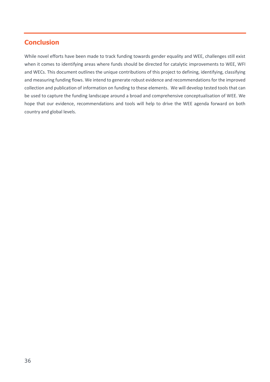# <span id="page-35-0"></span>**Conclusion**

While novel efforts have been made to track funding towards gender equality and WEE, challenges still exist when it comes to identifying areas where funds should be directed for catalytic improvements to WEE, WFI and WECs. This document outlines the unique contributions of this project to defining, identifying, classifying and measuring funding flows. We intend to generate robust evidence and recommendations for the improved collection and publication of information on funding to these elements. We will develop tested tools that can be used to capture the funding landscape around a broad and comprehensive conceptualisation of WEE. We hope that our evidence, recommendations and tools will help to drive the WEE agenda forward on both country and global levels.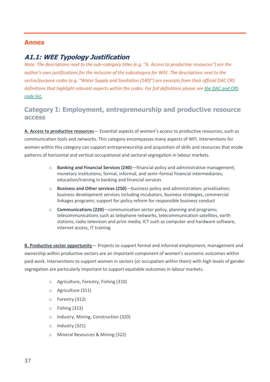#### <span id="page-36-0"></span>**Annex**

## <span id="page-36-1"></span>**A1.1: WEE Typology Justification**

*Note: The descriptions next to the sub–category titles (e.g. "A. Access to productive resources") are the author's own justifications for the inclusion of the subcategory for WEE. The descriptions next to the sector/purpose codes (e.g. "Water Supply and Sanitation (140)") are excerpts from their official DAC CRS definitions that highlight relevant aspects within the codes. For full definitions please see [the DAC and CRS](https://www.oecd.org/development/financing-sustainable-development/development-finance-standards/dacandcrscodelists.htm)  [code list.](https://www.oecd.org/development/financing-sustainable-development/development-finance-standards/dacandcrscodelists.htm)*

# **Category I: Employment, entrepreneurship and productive resource access**

**A. Access to productive resources**— Essential aspects of women's access to productive resources, such as communication tools and networks. This category encompasses many aspects of WFI. Interventions for women within this category can support entrepreneurship and acquisition of skills and resources that erode patterns of horizontal and vertical occupational and sectoral segregation in labour markets.

- o **Banking and Financial Services (240)**—financial policy and administrative management; monetary institutions; formal, informal, and semi–formal financial intermediaries; education/training in banking and financial services
- o **Business and Other services (250)**—business policy and administration; privatisation; business development services including incubators, business strategies, commercial linkages programs; support for policy reform for responsible business conduct
- o **Communications (220)**—communication sector policy, planning and programs; telecommunications such as telephone networks, telecommunication satellites, earth stations; radio television and print media; ICT such as computer and hardware software, internet access, IT training

**B. Productive sector opportunity**— Projects to support formal and informal employment, management and ownership within productive sectors are an important component of women's economic outcomes within paid work. Interventions to support women in sectors (or occupation within them) with high levels of gender segregation are particularly important to support equitable outcomes in labour markets.

- o Agriculture, Forestry, Fishing (310)
- o Agriculture (311)
- o Forestry (312)
- o Fishing (313)
- o Industry, Mining, Construction (320)
- o Industry (321)
- o Mineral Resources & Mining (322)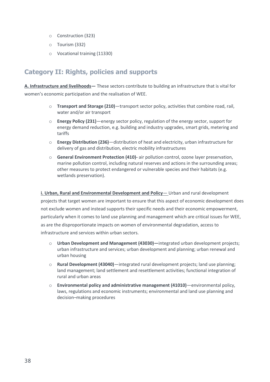- o Construction (323)
- o Tourism (332)
- o Vocational training (11330)

# **Category II: Rights, policies and supports**

**A. Infrastructure and livelihoods—** These sectors contribute to building an infrastructure that is vital for women's economic participation and the realisation of WEE.

- o **Transport and Storage (210)**—transport sector policy, activities that combine road, rail, water and/or air transport
- o **Energy Policy (231)**—energy sector policy, regulation of the energy sector, support for energy demand reduction, e.g. building and industry upgrades, smart grids, metering and tariffs
- o **Energy Distribution (236)**—distribution of heat and electricity, urban infrastructure for delivery of gas and distribution, electric mobility infrastructures
- o **General Environment Protection (410)-** air pollution control, ozone layer preservation, marine pollution control, including natural reserves and actions in the surrounding areas; other measures to protect endangered or vulnerable species and their habitats (e.g. wetlands preservation).

#### **i. Urban, Rural and Environmental Development and Policy**— Urban and rural development

projects that target women are important to ensure that this aspect of economic development does not exclude women and instead supports their specific needs and their economic empowerment, particularly when it comes to land use planning and management which are critical issues for WEE, as are the disproportionate impacts on women of environmental degradation, access to infrastructure and services within urban sectors.

- o **Urban Development and Management (43030)—**integrated urban development projects; urban infrastructure and services; urban development and planning; urban renewal and urban housing
- o **Rural Development (43040)**—integrated rural development projects; land use planning; land management; land settlement and resettlement activities; functional integration of rural and urban areas
- o **Environmental policy and administrative management (41010)**—environmental policy, laws, regulations and economic instruments; environmental and land use planning and decision–making procedures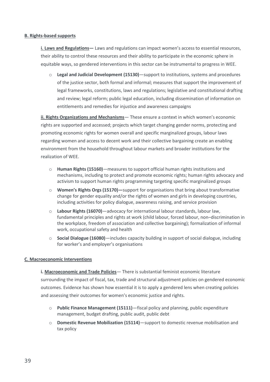#### **B. Rights-based supports**

**i. Laws and Regulations—** Laws and regulations can impact women's access to essential resources, their ability to control these resources and their ability to participate in the economic sphere in equitable ways, so gendered interventions in this sector can be instrumental to progress in WEE.

o **Legal and Judicial Development (15130)**—support to institutions, systems and procedures of the justice sector, both formal and informal; measures that support the improvement of legal frameworks, constitutions, laws and regulations; legislative and constitutional drafting and review; legal reform; public legal education, including dissemination of information on entitlements and remedies for injustice and awareness campaigns

**ii. Rights Organizations and Mechanisms**— These ensure a context in which women's economic rights are supported and accessed; projects which target changing gender norms, protecting and promoting economic rights for women overall and specific marginalized groups, labour laws regarding women and access to decent work and their collective bargaining create an enabling environment from the household throughout labour markets and broader institutions for the realization of WEE.

- o **Human Rights (15160)**—measures to support official human rights institutions and mechanisms, including to protect and promote economic rights; human rights advocacy and activism to support human rights programming targeting specific marginalized groups
- o **Women's Rights Orgs (15170)—**support for organisations that bring about transformative change for gender equality and/or the rights of women and girls in developing countries, including activities for policy dialogue, awareness raising, and service provision
- o **Labour Rights (16070)**—advocacy for international labour standards, labour law, fundamental principles and rights at work (child labour, forced labour, non–discrimination in the workplace, freedom of association and collective bargaining); formalization of informal work, occupational safety and health
- o **Social Dialogue (16080)**—includes capacity building in support of social dialogue, including for worker's and employer's organisations

#### **C. Macroeconomic Interventions**

**i. Macroeconomic and Trade Policies**— There is substantial feminist economic literature surrounding the impact of fiscal, tax, trade and structural adjustment policies on gendered economic outcomes. Evidence has shown how essential it is to apply a gendered lens when creating policies and assessing their outcomes for women's economic justice and rights.

- o **Public Finance Management (15111)**—fiscal policy and planning, public expenditure management, budget drafting, public audit, public debt
- o **Domestic Revenue Mobilization (15114)**—support to domestic revenue mobilisation and tax policy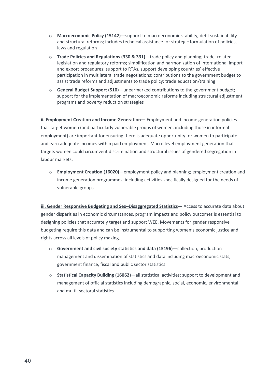- o **Macroeconomic Policy (15142)**—support to macroeconomic stability, debt sustainability and structural reforms; includes technical assistance for strategic formulation of policies, laws and regulation
- o **Trade Policies and Regulations (330 & 331)**—trade policy and planning; trade–related legislation and regulatory reforms; simplification and harmonization of international import and export procedures; support to RTAs, support developing countries' effective participation in multilateral trade negotiations; contributions to the government budget to assist trade reforms and adjustments to trade policy; trade education/training
- o **General Budget Support (510)**—unearmarked contributions to the government budget; support for the implementation of macroeconomic reforms including structural adjustment programs and poverty reduction strategies

**ii. Employment Creation and Income Generation —** Employment and income generation policies that target women (and particularly vulnerable groups of women, including those in informal employment) are important for ensuring there is adequate opportunity for women to participate and earn adequate incomes within paid employment. Macro level employment generation that targets women could circumvent discrimination and structural issues of gendered segregation in labour markets.

o **Employment Creation (16020)**—employment policy and planning; employment creation and income generation programmes; including activities specifically designed for the needs of vulnerable groups

**iii. Gender Responsive Budgeting and Sex–Disaggregated Statistics—** Access to accurate data about gender disparities in economic circumstances, program impacts and policy outcomes is essential to designing policies that accurately target and support WEE. Movements for gender responsive budgeting require this data and can be instrumental to supporting women's economic justice and rights across all levels of policy making.

- o **Government and civil society statistics and data (15196)**—collection, production management and dissemination of statistics and data including macroeconomic stats, government finance, fiscal and public sector statistics
- o **Statistical Capacity Building (16062)**—all statistical activities; support to development and management of official statistics including demographic, social, economic, environmental and multi–sectoral statistics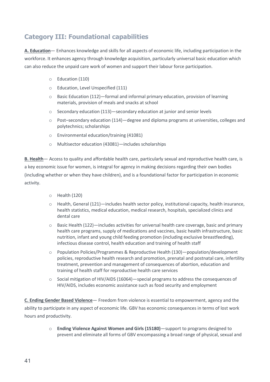# **Category III: Foundational capabilities**

**A. Education**— Enhances knowledge and skills for all aspects of economic life, including participation in the workforce. It enhances agency through knowledge acquisition, particularly universal basic education which can also reduce the unpaid care work of women and support their labour force participation.

- o Education (110)
- o Education, Level Unspecified (111)
- $\circ$  Basic Education (112)—formal and informal primary education, provision of learning materials, provision of meals and snacks at school
- o Secondary education (113)—secondary education at junior and senior levels
- $\circ$  Post–secondary education (114)—degree and diploma programs at universities, colleges and polytechnics; scholarships
- o Environmental education/training (41081)
- o Multisector education (43081)—includes scholarships

**B. Health**— Access to quality and affordable health care, particularly sexual and reproductive health care, is a key economic issue for women, is integral for agency in making decisions regarding their own bodies (including whether or when they have children), and is a foundational factor for participation in economic activity.

- o Health (120)
- o Health, General (121)—includes health sector policy, institutional capacity, health insurance, health statistics, medical education, medical research, hospitals, specialized clinics and dental care
- o Basic Health (122)—includes activities for universal health care coverage, basic and primary health care programs, supply of medications and vaccines, basic health infrastructure, basic nutrition, infant and young child feeding promotion (including exclusive breastfeeding), infectious disease control, health education and training of health staff
- o Population Policies/Programmes & Reproductive Health (130)—population/development policies, reproductive health research and promotion, prenatal and postnatal care, infertility treatment, prevention and management of consequences of abortion, education and training of health staff for reproductive health care services
- o Social mitigation of HIV/AIDS (16064)—special programs to address the consequences of HIV/AIDS, includes economic assistance such as food security and employment

**C. Ending Gender Based Violence**— Freedom from violence is essential to empowerment, agency and the ability to participate in any aspect of economic life. GBV has economic consequences in terms of lost work hours and productivity.

> o **Ending Violence Against Women and Girls (15180)**—support to programs designed to prevent and eliminate all forms of GBV encompassing a broad range of physical, sexual and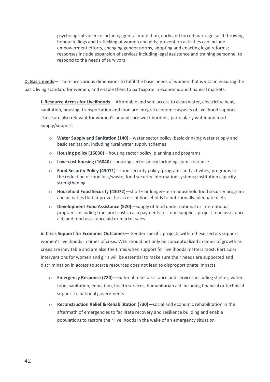psychological violence including genital mutilation, early and forced marriage, acid throwing, honour killings and trafficking of women and girls; prevention activities can include empowerment efforts, changing gender norms, adopting and enacting legal reforms; responses include expansion of services including legal assistance and training personnel to respond to the needs of survivors

**D. Basic needs**— There are various dimensions to fulfil the basic needs of women that is vital in ensuring the basic living standard for women, and enable them to participate in economic and financial markets.

**i. Resource Access for Livelihoods**— Affordable and safe access to clean water, electricity, heat, sanitation, housing, transportation and food are integral economic aspects of livelihood support. These are also relevant for women's unpaid care work burdens, particularly water and food supply/support.

- o **Water Supply and Sanitation (140)**—water sector policy, basic drinking water supply and basic sanitation, including rural water supply schemes
- o **Housing policy (16030)**—housing sector policy, planning and programs
- o **Low–cost housing (16040)**—housing sector policy including slum clearance
- o **Food Security Policy (43071)**—food security policy, programs and activities; programs for the reduction of food loss/waste; food security information systems; institution capacity strengthening
- o **Household Food Security (43072)**—short– or longer–term household food security program and activities that improve the access of households to nutritionally adequate diets
- o **Development Food Assistance (520)**—supply of food under national or international programs including transport costs, cash payments for food supplies, project food assistance aid, and food assistance aid or market sales

**ii. Crisis Support for Economic Outcomes—** Gender specific projects within these sectors support women's livelihoods in times of crisis. WEE should not only be conceptualized in times of growth as crises are inevitable and are also the times when support for livelihoods matters most. Particular interventions for women and girls will be essential to make sure their needs are supported and discrimination in access to scarce resources does not lead to disproportionate impacts.

- o **Emergency Response (720)**—material relief assistance and services including shelter, water, food, sanitation, education, health services, humanitarian aid including financial or technical support to national governments
- o **Reconstruction Relief & Rehabilitation (730)**—social and economic rehabilitation in the aftermath of emergencies to facilitate recovery and resilience building and enable populations to restore their livelihoods in the wake of an emergency situation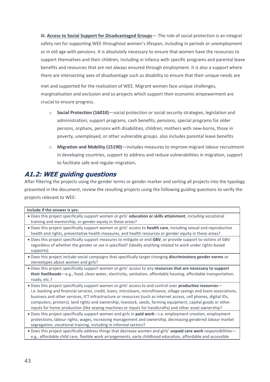**iii. Access to Social Support for Disadvantaged Groups**— The role of social protection is an integral safety net for supporting WEE throughout women's lifespan, including in periods or unemployment or in old age with pensions. It is absolutely necessary to ensure that women have the resources to support themselves and their children, including in infancy with specific programs and parental leave benefits and resources that are not always ensured through employment. It is also a support where there are intersecting axes of disadvantage such as disability to ensure that their unique needs are

met and supported for the realization of WEE. Migrant women face unique challenges, marginalisation and exclusion and so projects which support their economic empowerment are crucial to ensure progress.

- o **Social Protection (16010)**—social protection or social security strategies, legislation and administration; support programs, cash benefits, pensions, special programs for older persons, orphans, persons with disabilities, children, mothers with new-borns, those in poverty, unemployed, or other vulnerable groups. also includes parental leave benefits
- o **Migration and Mobility (15190)**—includes measures to improve migrant labour recruitment in developing countries, support to address and reduce vulnerabilities in migration, support to facilitate safe and regular migration**.**

# <span id="page-42-0"></span>**A1.2: WEE guiding questions**

After filtering the projects using the gender terms or gender marker and sorting all projects into the typology presented in the document, review the resulting projects using the following guiding questions to verify the projects relevant to WEE:

| Include if the answer is yes:                                                                                                                                                                                                                                                                                                                                                                                                                                                                                                                                                    |
|----------------------------------------------------------------------------------------------------------------------------------------------------------------------------------------------------------------------------------------------------------------------------------------------------------------------------------------------------------------------------------------------------------------------------------------------------------------------------------------------------------------------------------------------------------------------------------|
| . Does this project specifically support women or girls' education or skills attainment, including vocational<br>training and mentorship, or gender equity in these areas?                                                                                                                                                                                                                                                                                                                                                                                                       |
| . Does this project specifically support women or girls' access to health care, including sexual and reproductive<br>health and rights, preventative health measures, and health resources or gender equity in these areas?                                                                                                                                                                                                                                                                                                                                                      |
| . Does this project specifically support measures to mitigate or end GBV, or provide support to victims of GBV<br>regardless of whether the gender or sex is specified? (Ideally anything related to work under rights-based<br>supports)                                                                                                                                                                                                                                                                                                                                        |
| . Does this project include social campaigns that specifically target changing discriminatory gender norms or<br>stereotypes about women and girls?                                                                                                                                                                                                                                                                                                                                                                                                                              |
| . Does this project specifically support women or girls' access to any resources that are necessary to support<br>their livelihoods-e.g., food, clean water, electricity, sanitation, affordable housing, affordable transportation,<br>roads, etc.?                                                                                                                                                                                                                                                                                                                             |
| . Does this project specifically support women or girls' access to and control over productive resources-<br>i.e. banking and financial services, credit, loans, microloans, microfinance, village savings and loans associations,<br>business and other services, ICT infrastructure or resources (such as internet access, cell phones, digital IDs,<br>computers, printers), land rights and ownership, livestock, seeds, farming equipment, capital goods or other<br>inputs for home production (like sewing machines or inputs for handicrafts) and other asset ownership? |
| . Does this project specifically support women and girls in paid work-i.e. employment creation, employment<br>protections, labour rights, wages, increasing management and ownership, decreasing gendered labour market<br>segregation, vocational training, including in informal sectors?                                                                                                                                                                                                                                                                                      |
| . Does this project specifically address things that decrease women and girls' unpaid care work responsibilities-                                                                                                                                                                                                                                                                                                                                                                                                                                                                |

e.g., affordable child care, flexible work arrangements, early childhood education, affordable and accessible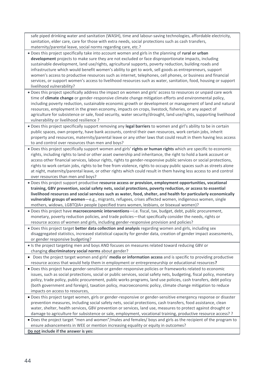safe piped drinking water and sanitation (WASH), time and labour-saving technologies, affordable electricity, sanitation, elder care, care for those with extra needs, social protections such as cash transfers, maternity/parental leave, social norms regarding care, etc.?

- Does this project specifically take into account women and girls in the planning of **rural or urban development** projects to make sure they are not excluded or face disproportionate impacts, including sustainable development, land use/rights, agricultural supports, poverty reduction, building roads and infrastructure which would benefit women's ability to get to work, sell goods as entrepreneurs, support women's access to productive resources such as internet, telephones, cell phones, or business and financial services, or support women's access to livelihood resources such as water, sanitation, food, housing or support livelihood vulnerability?
- Does this project specifically address the impact on women and girls' access to resources or unpaid care work time of **climate change** or gender-responsive climate change mitigation efforts and environmental policy, including poverty reduction, sustainable economic growth or development or management of land and natural resources, employment in the green economy, impacts on crops, livestock, fisheries, or any aspect of agriculture for subsistence or sale, food security, water security/drought, land use/rights, supporting livelihood vulnerability or livelihood resilience ?
- Does this project specifically support removing any **legal barriers** to women and girl's ability to be in certain public spaces, own property, have bank accounts, control their own resources, work certain jobs, inherit property and resources, maternity/parental leave or any other laws that could result in them having less access to and control over resources than men and boys?
- Does this project specifically support women and girls' **rights or human rights** which are specific to economic rights, including rights to land or other asset ownership and inheritance, the right to hold a bank account or access other financial services, labour rights, rights to gender-responsive public services or social protections, rights to work certain jobs, rights to be free from violence, rights to occupy public spaces such as streets alone at night, maternity/parental leave, or other rights which could result in them having less access to and control over resources than men and boys?
- Does this project support productive **resource access or provision, employment opportunities, vocational training, GBV prevention, social safety nets, social protections, poverty reduction, or access to essential livelihood resources and social services such as water, food, shelter, and health for particularly economically vulnerable groups of women**—e.g., migrants, refugees, crises affected women, indigenous women, single mothers, widows, LGBTQIA+ people (specified trans women, lesbians, or bisexual women)?
- Does this project have **macroeconomic interventions**—i.e. fiscal, tax, budget, debt, public procurement, monetary, poverty reduction policies, and trade policies—that specifically consider the needs, rights or resource access of women and girls, including gender-responsive provision and policies?
- Does this project target **better data collection and analysis** regarding women and girls, including sex disaggregated statistics, increased statistical capacity for gender data, creation of gender impact assessments, or gender responsive budgeting?
- Is the project targeting men and boys AND focuses on measures related toward reducing GBV or changing **discriminatory social norms** about gender?
- Does the project target women and girls' **media or information access** and is specific to providing productive resource access that would help them in employment or entrepreneurship or educational resources**?**
- Does this project have gender-sensitive or gender-responsive policies or frameworks related to economic issues, such as social protections, social or public services, social safety nets, budgeting, fiscal policy, monetary policy, trade policy, public procurement, public works programs, land use policies, cash transfers, debt policy (both government and foreign), taxation policy, macroeconomic policy, climate change mitigation to reduce impacts on access to resources,
- Does this project target women, girls or gender-responsive or gender-sensitive emergency response or disaster prevention measures, including social safety nets, social protections, cash transfers, food assistance, clean water, shelter, health services, GBV prevention or services, land use, measures to protect against drought or damage to agriculture for subsistence or sale, employment, vocational training, productive resource access? ?

• Does the project target "men and women"/males and females/ boys and girls as the recipient of the program to ensure advancements in WEE or mention increasing equality or equity in outcomes? **Do not include if the answer is yes:**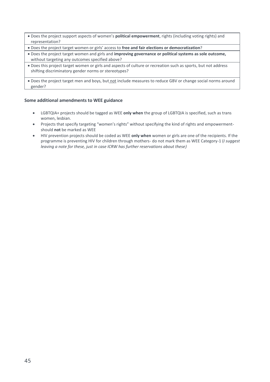- Does the project support aspects of women's **political empowerment**, rights (including voting rights) and representation?
- Does the project target women or girls' access to **free and fair elections or democratization**?
- Does the project target women and girls and **improving governance or political systems as sole outcome,**  without targeting any outcomes specified above?
- Does this project target women or girls and aspects of culture or recreation such as sports, but not address shifting discriminatory gender norms or stereotypes?

• Does the project target men and boys, but not include measures to reduce GBV or change social norms around gender?

#### **Some additional amendments to WEE guidance**

- LGBTQIA+ projects should be tagged as WEE **only when** the group of LGBTQIA is specified, such as trans women, lesbian.
- Projects that specify targeting "women's rights" without specifying the kind of rights and empowermentshould **not** be marked as WEE
- HIV prevention projects should be coded as WEE **only when** women or girls are one of the recipients. If the programme is preventing HIV for children through mothers- do not mark them as WEE Category-1 (*I suggest leaving a note for these, just in case ICRW has further reservations about these)*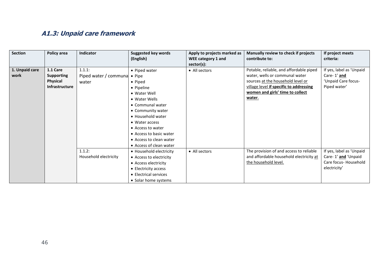# **A1.3: Unpaid care framework**

<span id="page-45-0"></span>

| Section        | Policy area           | Indicator                    | Suggested key words<br>(English) | Apply to projects marked as<br>WEE category 1 and | Manually review to check if projects<br>contribute to: | If project meets<br>criteria: |
|----------------|-----------------------|------------------------------|----------------------------------|---------------------------------------------------|--------------------------------------------------------|-------------------------------|
|                |                       |                              |                                  | sector(s):                                        |                                                        |                               |
| 1. Unpaid care | 1.1 Care              | 1.1.1:                       | • Piped water                    | • All sectors                                     | Potable, reliable, and affordable piped                | If yes, label as 'Unpaid      |
| work           | <b>Supporting</b>     | Piped water / communa • Pipe |                                  |                                                   | water, wells or communal water                         | Care-1' and                   |
|                | Physical              | water                        | • Piped                          |                                                   | sources at the household level or                      | 'Unpaid Care focus-           |
|                | <b>Infrastructure</b> |                              | • Pipeline                       |                                                   | village level if specific to addressing                | Piped water'                  |
|                |                       |                              | • Water Well                     |                                                   | women and girls' time to collect                       |                               |
|                |                       |                              | • Water Wells                    |                                                   | water.                                                 |                               |
|                |                       |                              | • Communal water                 |                                                   |                                                        |                               |
|                |                       |                              | • Community water                |                                                   |                                                        |                               |
|                |                       |                              | • Household water                |                                                   |                                                        |                               |
|                |                       |                              | • Water access                   |                                                   |                                                        |                               |
|                |                       |                              | • Access to water                |                                                   |                                                        |                               |
|                |                       |                              | • Access to basic water          |                                                   |                                                        |                               |
|                |                       |                              | • Access to clean water          |                                                   |                                                        |                               |
|                |                       |                              | • Access of clean water          |                                                   |                                                        |                               |
|                |                       | 1.1.2:                       | • Household electricity          | • All sectors                                     | The provision of and access to reliable                | If yes, label as 'Unpaid      |
|                |                       | Household electricity        | • Access to electricity          |                                                   | and affordable household electricity at                | Care-1' and 'Unpaid           |
|                |                       |                              | • Access electricity             |                                                   | the household level.                                   | Care focus- Household         |
|                |                       |                              | • Electricity access             |                                                   |                                                        | electricity'                  |
|                |                       |                              | • Electrical services            |                                                   |                                                        |                               |
|                |                       |                              | • Solar home systems             |                                                   |                                                        |                               |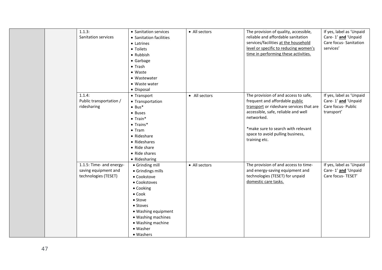| 1.1.3:                | Sanitation services<br>• Latrines<br>• Toilets<br>• Rubbish<br>• Garbage<br>$\bullet$ Trash<br>$\bullet$ Waste<br>• Wastewater<br>• Waste water<br>· Disposal                                             | • Sanitation services<br>• Sanitation facilities                                                                       | • All sectors | The provision of quality, accessible,<br>reliable and affordable sanitation<br>services/facilities at the household<br>level or specific to reducing women's<br>time in performing these activities.                                                               | If yes, label as 'Unpaid<br>Care-1' and 'Unpaid<br>Care focus- Sanitation<br>services' |
|-----------------------|-----------------------------------------------------------------------------------------------------------------------------------------------------------------------------------------------------------|------------------------------------------------------------------------------------------------------------------------|---------------|--------------------------------------------------------------------------------------------------------------------------------------------------------------------------------------------------------------------------------------------------------------------|----------------------------------------------------------------------------------------|
| 1.1.4:<br>ridesharing | • Transport<br>Public transportation /<br>$• Bus*$<br>• Buses<br>$\bullet$ Train*<br>$\bullet$ Trains*<br>$\bullet$ Tram<br>• Rideshare<br>• Rideshares<br>• Ride share<br>• Ride shares<br>• Ridesharing | • Transportation                                                                                                       | • All sectors | The provision of and access to safe,<br>frequent and affordable public<br>transport or rideshare services that are<br>accessible, safe, reliable and well<br>networked.<br>*make sure to search with relevant<br>space to avoid pulling business,<br>training etc. | If yes, label as 'Unpaid<br>Care-1' and 'Unpaid<br>Care focus- Public<br>transport'    |
|                       | 1.1.5: Time- and energy-<br>saving equipment and<br>technologies (TESET)<br>• Cookstove<br>• Cooking<br>$\bullet$ Cook<br>• Stove<br>• Stoves<br>• Washer<br>• Washers                                    | • Grinding mill<br>• Grindings mills<br>• Cookstoves<br>• Washing equipment<br>• Washing machines<br>• Washing machine | • All sectors | The provision of and access to time-<br>and energy-saving equipment and<br>technologies (TESET) for unpaid<br>domestic care tasks.                                                                                                                                 | If yes, label as 'Unpaid<br>Care-1' and 'Unpaid<br>Care focus- TESET'                  |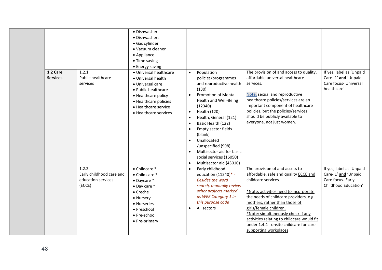| 1.2 Care<br><b>Services</b> | 1.2.1<br>Public healthcare<br>services                            | • Dishwasher<br>· Dishwashers<br>• Gas cylinder<br>• Vacuum cleaner<br>• Appliance<br>• Time saving<br>• Energy saving<br>• Universal healthcare<br>• Universal health<br>• Universal care<br>• Public healthcare<br>• Healthcare policy<br>• Healthcare policies<br>• Healthcare service<br>• Healthcare services | $\bullet$<br>$\bullet$<br>$\bullet$<br>$\bullet$<br>$\bullet$<br>$\bullet$<br>$\bullet$<br>$\bullet$<br>$\bullet$ | Population<br>policies/programmes<br>and reproductive health<br>(130)<br><b>Promotion of Mental</b><br><b>Health and Well-Being</b><br>(12340)<br>Health (120)<br>Health, General (121)<br>Basic Health (122)<br>Empty sector fields<br>(blank)<br>Unallocated<br>/unspecified (998)<br>Multisector aid for basic<br>social services (16050)<br>Multisector aid (43010) | The provision of and access to quality,<br>affordable <i>universal</i> healthcare<br>services.<br>Note: sexual and reproductive<br>healthcare policies/services are an<br>important component of healthcare<br>policies, but the policies/services<br>should be publicly available to<br>everyone, not just women.                                                                                          | If yes, label as 'Unpaid<br>Care-1' and 'Unpaid<br>Care focus- Universal<br>healthcare'      |
|-----------------------------|-------------------------------------------------------------------|--------------------------------------------------------------------------------------------------------------------------------------------------------------------------------------------------------------------------------------------------------------------------------------------------------------------|-------------------------------------------------------------------------------------------------------------------|-------------------------------------------------------------------------------------------------------------------------------------------------------------------------------------------------------------------------------------------------------------------------------------------------------------------------------------------------------------------------|-------------------------------------------------------------------------------------------------------------------------------------------------------------------------------------------------------------------------------------------------------------------------------------------------------------------------------------------------------------------------------------------------------------|----------------------------------------------------------------------------------------------|
|                             | 1.2.2<br>Early childhood care and<br>education services<br>(ECCE) | $\bullet$ Childcare $^*$<br>• Child care *<br>$\bullet$ Daycare $\ast$<br>• Day care *<br>$\bullet$ Creche<br>• Nursery<br>• Nurseries<br>• Preschool<br>• Pre-school<br>• Pre-primary                                                                                                                             | $\bullet$<br>$\bullet$                                                                                            | Early childhood<br>education $(11240)* -$<br><b>Besides the word</b><br>search, manually review<br>other projects marked<br>as WEE Category 1 in<br>this purpose code<br>All sectors                                                                                                                                                                                    | The provision of and access to<br>affordable, safe and quality <b>ECCE</b> and<br>childcare services.<br>*Note: activities need to incorporate<br>the needs of childcare providers, e.g.<br>mothers, rather than those of<br>girls/female children.<br>*Note: simultaneously check if any<br>activities relating to childcare would fit<br>under 1.4.4 - onsite childcare for care<br>supporting workplaces | If yes, label as 'Unpaid<br>Care-1' and 'Unpaid<br>Care focus- Early<br>Childhood Education' |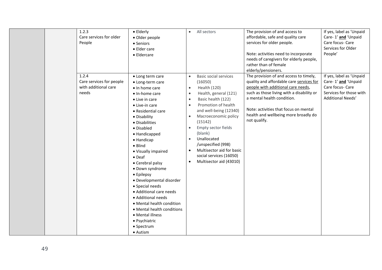| 1.2.3<br>Care services for older<br>People<br>1.2.4       | • Elderly<br>· Older people<br>• Seniors<br>• Elder care<br>• Eldercare<br>• Long term care                                                                                                                                                                                                                                                                                                                                                                                                                                                      | All sectors<br>$\bullet$<br><b>Basic social services</b><br>$\bullet$                                                                                                                                                                                                                                                                                                                                                                     | The provision of and access to<br>affordable, safe and quality care<br>services for older people.<br>Note: activities need to incorporate<br>needs of caregivers for elderly people,<br>rather than of female<br>elderly/pensioners.<br>The provision of and access to timely, | If yes, label as 'Unpaid<br>Care-1' and 'Unpaid<br>Care focus- Care<br>Services for Older<br>People'<br>If yes, label as 'Unpaid |
|-----------------------------------------------------------|--------------------------------------------------------------------------------------------------------------------------------------------------------------------------------------------------------------------------------------------------------------------------------------------------------------------------------------------------------------------------------------------------------------------------------------------------------------------------------------------------------------------------------------------------|-------------------------------------------------------------------------------------------------------------------------------------------------------------------------------------------------------------------------------------------------------------------------------------------------------------------------------------------------------------------------------------------------------------------------------------------|--------------------------------------------------------------------------------------------------------------------------------------------------------------------------------------------------------------------------------------------------------------------------------|----------------------------------------------------------------------------------------------------------------------------------|
| Care services for people<br>with additional care<br>needs | • Long-term care<br>$\bullet$ In home care<br>• In-home care<br>• Live in care<br>• Live-in care<br>• Residential care<br>• Disability<br>• Disabilities<br>• Disabled<br>• Handicapped<br>• Handicap<br>$\bullet$ Blind<br>• Visually impaired<br>$\bullet$ Deaf<br>• Cerebral palsy<br>· Down syndrome<br>• Epilepsy<br>· Developmental disorder<br>• Special needs<br>• Additional care needs<br>• Additional needs<br>• Mental health condition<br>• Mental health conditions<br>• Mental illness<br>· Psychiatric<br>• Spectrum<br>• Autism | (16050)<br>Health (120)<br>$\bullet$<br>Health, general (121)<br>$\bullet$<br>Basic health (122)<br>$\bullet$<br>Promotion of health<br>$\bullet$<br>and well-being (12340)<br>Macroeconomic policy<br>$\bullet$<br>(15142)<br>Empty sector fields<br>$\bullet$<br>(blank)<br>Unallocated<br>$\bullet$<br>/unspecified (998)<br>Multisector aid for basic<br>$\bullet$<br>social services (16050)<br>Multisector aid (43010)<br>$\bullet$ | quality and affordable care services for<br>people with additional care needs,<br>such as those living with a disability or<br>a mental health condition.<br>Note: activities that focus on mental<br>health and wellbeing more broadly do<br>not qualify.                     | Care-1' and 'Unpaid<br>Care focus- Care<br>Services for those with<br>Additional Needs'                                          |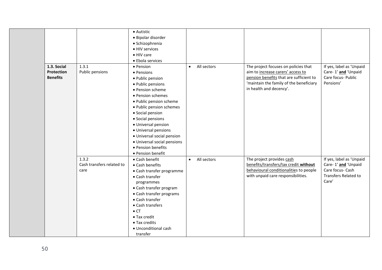|                 |                           | • Autistic                  |                          |                                         |                          |
|-----------------|---------------------------|-----------------------------|--------------------------|-----------------------------------------|--------------------------|
|                 |                           | · Bipolar disorder          |                          |                                         |                          |
|                 |                           | · Schizophrenia             |                          |                                         |                          |
|                 |                           | • HIV services              |                          |                                         |                          |
|                 |                           | • HIV care                  |                          |                                         |                          |
|                 |                           | • Ebola services            |                          |                                         |                          |
| 1.3. Social     | 1.3.1                     | • Pension                   | All sectors<br>$\bullet$ | The project focuses on policies that    | If yes, label as 'Unpaid |
| Protection      | Public pensions           | • Pensions                  |                          | aim to increase carers' access to       | Care-1' and 'Unpaid      |
| <b>Benefits</b> |                           | • Public pension            |                          | pension benefits that are sufficient to | Care focus- Public       |
|                 |                           | • Public pensions           |                          | 'maintain the family of the beneficiary | Pensions'                |
|                 |                           | • Pension scheme            |                          | in health and decency'.                 |                          |
|                 |                           | • Pension schemes           |                          |                                         |                          |
|                 |                           | · Public pension scheme     |                          |                                         |                          |
|                 |                           | · Public pension schemes    |                          |                                         |                          |
|                 |                           | • Social pension            |                          |                                         |                          |
|                 |                           | • Social pensions           |                          |                                         |                          |
|                 |                           | · Universal pension         |                          |                                         |                          |
|                 |                           | · Universal pensions        |                          |                                         |                          |
|                 |                           | · Universal social pension  |                          |                                         |                          |
|                 |                           | · Universal social pensions |                          |                                         |                          |
|                 |                           | • Pension benefits          |                          |                                         |                          |
|                 |                           | • Pension benefit           |                          |                                         |                          |
|                 | 1.3.2                     | • Cash benefit              | All sectors<br>$\bullet$ | The project provides cash               | If yes, label as 'Unpaid |
|                 | Cash transfers related to | • Cash benefits             |                          | benefits/transfers/tax credit without   | Care-1' and 'Unpaid      |
|                 | care                      | • Cash transfer programme   |                          | behavioural conditionalities to people  | Care focus- Cash         |
|                 |                           | • Cash transfer             |                          | with unpaid care responsibilities.      | Transfers Related to     |
|                 |                           | programmes                  |                          |                                         | Care'                    |
|                 |                           | • Cash transfer program     |                          |                                         |                          |
|                 |                           | • Cash transfer programs    |                          |                                         |                          |
|                 |                           | • Cash transfer             |                          |                                         |                          |
|                 |                           | • Cash transfers            |                          |                                         |                          |
|                 |                           | $\bullet$ CT                |                          |                                         |                          |
|                 |                           | • Tax credit                |                          |                                         |                          |
|                 |                           | • Tax credits               |                          |                                         |                          |
|                 |                           | • Unconditional cash        |                          |                                         |                          |
|                 |                           | transfer                    |                          |                                         |                          |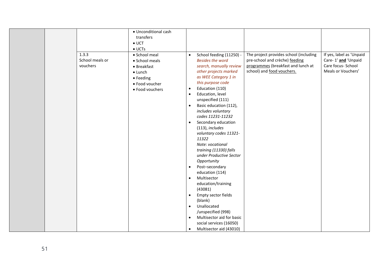| · Unconditional cash<br>transfers<br>$\bullet$ UCT<br>$\bullet$ UCTs                                                                                        |                                                                                                                                                                                                                                                                                                                                                                                                                                                                                                                                                                                                                                                                                                                                                                                                                                                                                                                                                                                                                                                                                                         |
|-------------------------------------------------------------------------------------------------------------------------------------------------------------|---------------------------------------------------------------------------------------------------------------------------------------------------------------------------------------------------------------------------------------------------------------------------------------------------------------------------------------------------------------------------------------------------------------------------------------------------------------------------------------------------------------------------------------------------------------------------------------------------------------------------------------------------------------------------------------------------------------------------------------------------------------------------------------------------------------------------------------------------------------------------------------------------------------------------------------------------------------------------------------------------------------------------------------------------------------------------------------------------------|
| 1.3.3<br>• School meal<br>School meals or<br>• School meals<br>vouchers<br>• Breakfast<br>$\bullet$ Lunch<br>• Feeding<br>· Food voucher<br>• Food vouchers | If yes, label as 'Unpaid<br>The project provides school (including<br>School feeding (11250) -<br>$\bullet$<br>pre-school and crèche) feeding<br>Care-1' and 'Unpaid<br><b>Besides the word</b><br>programmes (breakfast and lunch at<br>Care focus- School<br>search, manually review<br>school) and food vouchers.<br>Meals or Vouchers'<br>other projects marked<br>as WEE Category 1 in<br>this purpose code<br>Education (110)<br>$\bullet$<br>Education, level<br>$\bullet$<br>unspecified (111)<br>Basic education (112),<br>$\bullet$<br>includes voluntary<br>codes 11231-11232<br>Secondary education<br>$\bullet$<br>(113), includes<br>voluntary codes 11321-<br>11322<br>Note: vocational<br>training (11330) falls<br>under Productive Sector<br>Opportunity<br>Post-secondary<br>$\bullet$<br>education (114)<br>Multisector<br>$\bullet$<br>education/training<br>(43081)<br>Empty sector fields<br>$\bullet$<br>(blank)<br>Unallocated<br>$\bullet$<br>/unspecified (998)<br>Multisector aid for basic<br>$\bullet$<br>social services (16050)<br>Multisector aid (43010)<br>$\bullet$ |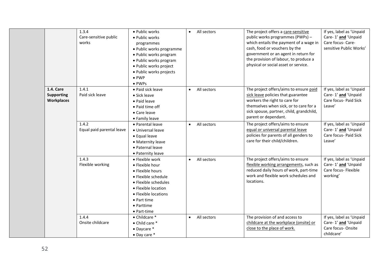|                                                     | 1.3.4<br>Care-sensitive public<br>works | • Public works<br>• Public works<br>programmes<br>· Public works programme<br>· Public works program<br>· Public works program<br>· Public works project<br>· Public works projects<br>$\bullet$ PWP<br>• PWPs | All sectors<br>$\bullet$ | The project offers a care-sensitive<br>public works programmes (PWPs) -<br>which entails the payment of a wage in<br>cash, food or vouchers by the<br>government or an agent in return for<br>the provision of labour, to produce a<br>physical or social asset or service. | If yes, label as 'Unpaid<br>Care-1' and 'Unpaid<br>Care focus- Care-<br>sensitive Public Works' |
|-----------------------------------------------------|-----------------------------------------|----------------------------------------------------------------------------------------------------------------------------------------------------------------------------------------------------------------|--------------------------|-----------------------------------------------------------------------------------------------------------------------------------------------------------------------------------------------------------------------------------------------------------------------------|-------------------------------------------------------------------------------------------------|
| <b>1.4. Care</b><br><b>Supporting</b><br>Workplaces | 1.4.1<br>Paid sick leave                | • Paid sick leave<br>• Sick leave<br>• Paid leave<br>• Paid time off<br>• Care leave<br>• Family leave                                                                                                         | All sectors<br>$\bullet$ | The project offers/aims to ensure paid<br>sick leave policies that guarantee<br>workers the right to care for<br>themselves when sick, or to care for a<br>sick spouse, partner, child, grandchild,<br>parent or dependant.                                                 | If yes, label as 'Unpaid<br>Care-1' and 'Unpaid<br>Care focus- Paid Sick<br>Leave'              |
|                                                     | 1.4.2<br>Equal paid parental leave      | • Parental leave<br>• Universal leave<br>• Equal leave<br>• Maternity leave<br>· Paternal leave<br>• Paternity leave                                                                                           | All sectors<br>$\bullet$ | The project offers/aims to ensure<br>equal or universal parental leave<br>policies for parents of all genders to<br>care for their child/children.                                                                                                                          | If yes, label as 'Unpaid<br>Care-1' and 'Unpaid<br>Care focus- Paid Sick<br>Leave'              |
|                                                     | 1.4.3<br>Flexible working               | • Flexible work<br>· Flexible hour<br>• Flexible hours<br>• Flexible schedule<br>• Flexible schedules<br>• Flexible location<br>• Flexible locations<br>• Part time<br>• Parttime<br>• Part-time               | All sectors<br>$\bullet$ | The project offers/aims to ensure<br>flexible working arrangements, such as<br>reduced daily hours of work, part-time<br>work and flexible work schedules and<br>locations.                                                                                                 | If yes, label as 'Unpaid<br>Care-1' and 'Unpaid<br>Care focus- Flexible<br>working'             |
|                                                     | 1.4.4<br>Onsite childcare               | • Childcare *<br>• Child care *<br>$\bullet$ Daycare $\ast$<br>$\bullet$ Day care $\ast$                                                                                                                       | All sectors<br>$\bullet$ | The provision of and access to<br>childcare at the workplace (onsite) or<br>close to the place of work.                                                                                                                                                                     | If yes, label as 'Unpaid<br>Care-1' and 'Unpaid<br>Care focus-Onsite<br>childcare'              |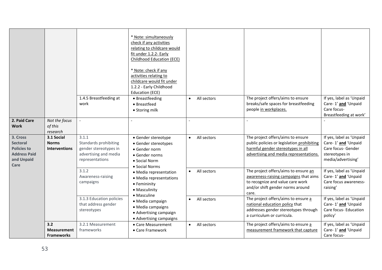|                                                                                         |                                                    |                                                                                                     | * Note: simultaneously<br>check if any activities<br>relating to childcare would<br>fit under 1.2.2- Early<br>Childhood Education (ECE)<br>* Note: check if any<br>activities relating to<br>childcare would fit under<br>1.2.2 - Early Childhood<br>Education (ECE)                                                 |                          |                                                                                                                                                                |                                                                                                               |
|-----------------------------------------------------------------------------------------|----------------------------------------------------|-----------------------------------------------------------------------------------------------------|----------------------------------------------------------------------------------------------------------------------------------------------------------------------------------------------------------------------------------------------------------------------------------------------------------------------|--------------------------|----------------------------------------------------------------------------------------------------------------------------------------------------------------|---------------------------------------------------------------------------------------------------------------|
|                                                                                         |                                                    | 1.4.5 Breastfeeding at<br>work                                                                      | • Breastfeeding<br>• Breastfeed<br>• Storing milk                                                                                                                                                                                                                                                                    | All sectors<br>$\bullet$ | The project offers/aims to ensure<br>breaks/safe spaces for breastfeeding<br>people in workplaces.                                                             | If yes, label as 'Unpaid<br>Care-1' and 'Unpaid<br>Care focus-<br>Breastfeeding at work'                      |
| 2. Paid Care<br><b>Work</b>                                                             | Not the focus<br>of this<br>research               |                                                                                                     |                                                                                                                                                                                                                                                                                                                      |                          |                                                                                                                                                                |                                                                                                               |
| 3. Cross<br>Sectoral<br><b>Policies to</b><br><b>Address Paid</b><br>and Unpaid<br>Care | 3.1 Social<br><b>Norms</b><br><b>Interventions</b> | 3.1.1<br>Standards prohibiting<br>gender stereotypes in<br>advertising and media<br>representations | • Gender stereotype<br>• Gender stereotypes<br>• Gender norm<br>• Gender norms<br>• Social Norm<br>• Social Norms<br>• Media representation<br>• Media representations<br>• Femininity<br>• Masculinity<br>• Masculine<br>· Media campaign<br>· Media campaigns<br>• Advertising campaign<br>• Advertising campaigns | All sectors<br>$\bullet$ | The project offers/aims to ensure<br>public policies or legislation prohibiting<br>harmful gender stereotypes in all<br>advertising and media representations. | If yes, label as 'Unpaid<br>Care-1' and 'Unpaid<br>Care focus- Gender<br>stereotypes in<br>media/advertising' |
|                                                                                         |                                                    | 3.1.2<br>Awareness-raising<br>campaigns                                                             |                                                                                                                                                                                                                                                                                                                      | All sectors<br>$\bullet$ | The project offers/aims to ensure an<br>awareness-raising campaigns that aims<br>to recognize and value care work<br>and/or shift gender norms around<br>care. | If yes, label as 'Unpaid<br>Care-1' and 'Unpaid<br>Care focus awareness-<br>raising'                          |
|                                                                                         |                                                    | 3.1.3 Education policies<br>that address gender<br>stereotypes                                      |                                                                                                                                                                                                                                                                                                                      | All sectors<br>$\bullet$ | The project offers/aims to ensure a<br>national education policy that<br>addresses gender stereotypes through<br>a curriculum or curricula.                    | If yes, label as 'Unpaid<br>Care-1' and 'Unpaid<br>Care focus- Education<br>policy'                           |
|                                                                                         | 3.2<br><b>Measurement</b><br><b>Frameworks</b>     | 3.2.1 Measurement<br>frameworks                                                                     | • Care Measurement<br>• Care Framework                                                                                                                                                                                                                                                                               | All sectors<br>$\bullet$ | The project offers/aims to ensure a<br>measurement framework that capture                                                                                      | If yes, label as 'Unpaid<br>Care-1' and 'Unpaid<br>Care focus-                                                |